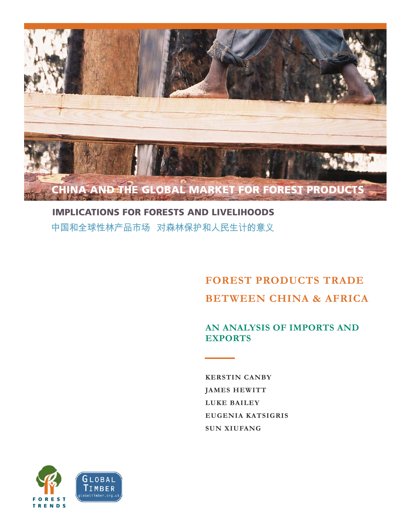

## **IMPLICATIONS FOR FORESTS AND LIVELIHOODS** 中国和全球性林产品市场 对森林保护和人民生计的意义

# **FOREST PRODUCTS TRADE BETWEEN CHINA & AFRICA**

## **AN ANALYSIS OF IMPORTS AND EXPORTS**

**KERSTIN CANBY JAMES HEWITT LUKE BAILEY EUGENIA KATSIGRIS SUN XIUFANG**

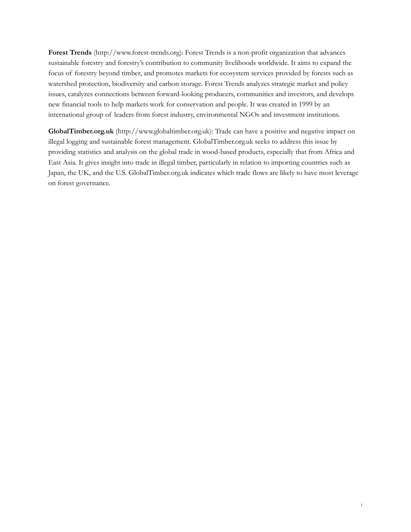**Forest Trends** (http://www.forest-trends.org): Forest Trends is a non-profit organization that advances sustainable forestry and forestry's contribution to community livelihoods worldwide. It aims to expand the focus of forestry beyond timber, and promotes markets for ecosystem services provided by forests such as watershed protection, biodiversity and carbon storage. Forest Trends analyzes strategic market and policy issues, catalyzes connections between forward-looking producers, communities and investors, and develops new financial tools to help markets work for conservation and people. It was created in 1999 by an international group of leaders from forest industry, environmental NGOs and investment institutions.

**GlobalTimber.org.uk** (http://www.globaltimber.org.uk): Trade can have a positive and negative impact on illegal logging and sustainable forest management. GlobalTimber.org.uk seeks to address this issue by providing statistics and analysis on the global trade in wood-based products, especially that from Africa and East Asia. It gives insight into trade in illegal timber, particularly in relation to importing countries such as Japan, the UK, and the U.S. GlobalTimber.org.uk indicates which trade flows are likely to have most leverage on forest governance.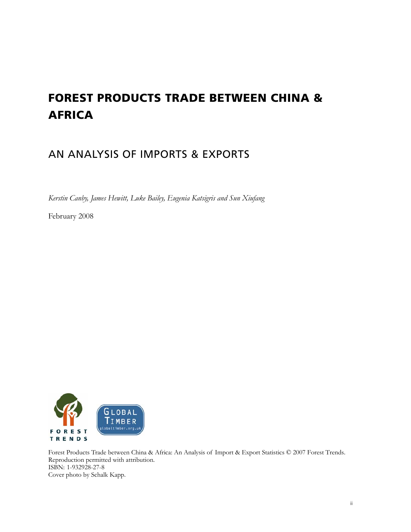# **FOREST PRODUCTS TRADE BETWEEN CHINA & AFRICA**

## AN ANALYSIS OF IMPORTS & EXPORTS

*Kerstin Canby, James Hewitt, Luke Bailey, Eugenia Katsigris and Sun Xiufang* 

February 2008



Forest Products Trade between China & Africa: An Analysis of Import & Export Statistics © 2007 Forest Trends. Reproduction permitted with attribution. ISBN: 1-932928-27-8 Cover photo by Schalk Kapp.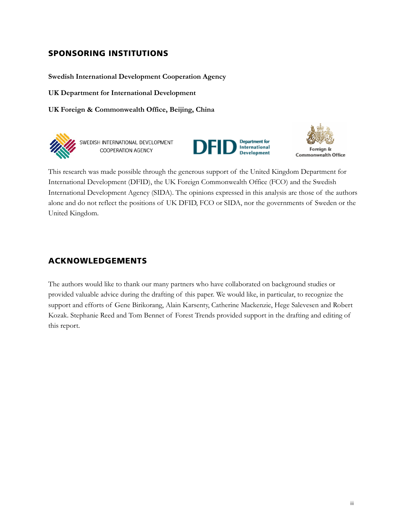## **SPONSORING INSTITUTIONS**

**Swedish International Development Cooperation Agency** 

**UK Department for International Development** 

**UK Foreign & Commonwealth Office, Beijing, China** 



SWEDISH INTERNATIONAL DEVELOPMENT **COOPERATION AGENCY** 





This research was made possible through the generous support of the United Kingdom Department for International Development (DFID), the UK Foreign Commonwealth Office (FCO) and the Swedish International Development Agency (SIDA). The opinions expressed in this analysis are those of the authors alone and do not reflect the positions of UK DFID, FCO or SIDA, nor the governments of Sweden or the United Kingdom.

## **ACKNOWLEDGEMENTS**

The authors would like to thank our many partners who have collaborated on background studies or provided valuable advice during the drafting of this paper. We would like, in particular, to recognize the support and efforts of Gene Birikorang, Alain Karsenty, Catherine Mackenzie, Hege Salevesen and Robert Kozak. Stephanie Reed and Tom Bennet of Forest Trends provided support in the drafting and editing of this report.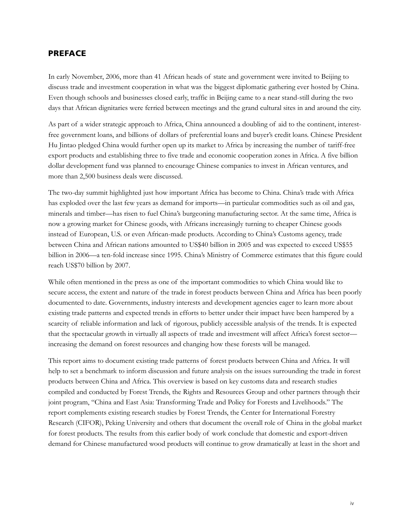## **PREFACE**

In early November, 2006, more than 41 African heads of state and government were invited to Beijing to discuss trade and investment cooperation in what was the biggest diplomatic gathering ever hosted by China. Even though schools and businesses closed early, traffic in Beijing came to a near stand-still during the two days that African dignitaries were ferried between meetings and the grand cultural sites in and around the city.

As part of a wider strategic approach to Africa, China announced a doubling of aid to the continent, interestfree government loans, and billions of dollars of preferential loans and buyer's credit loans. Chinese President Hu Jintao pledged China would further open up its market to Africa by increasing the number of tariff-free export products and establishing three to five trade and economic cooperation zones in Africa. A five billion dollar development fund was planned to encourage Chinese companies to invest in African ventures, and more than 2,500 business deals were discussed.

The two-day summit highlighted just how important Africa has become to China. China's trade with Africa has exploded over the last few years as demand for imports—in particular commodities such as oil and gas, minerals and timber—has risen to fuel China's burgeoning manufacturing sector. At the same time, Africa is now a growing market for Chinese goods, with Africans increasingly turning to cheaper Chinese goods instead of European, U.S. or even African-made products. According to China's Customs agency, trade between China and African nations amounted to US\$40 billion in 2005 and was expected to exceed US\$55 billion in 2006—a ten-fold increase since 1995. China's Ministry of Commerce estimates that this figure could reach US\$70 billion by 2007.

While often mentioned in the press as one of the important commodities to which China would like to secure access, the extent and nature of the trade in forest products between China and Africa has been poorly documented to date. Governments, industry interests and development agencies eager to learn more about existing trade patterns and expected trends in efforts to better under their impact have been hampered by a scarcity of reliable information and lack of rigorous, publicly accessible analysis of the trends. It is expected that the spectacular growth in virtually all aspects of trade and investment will affect Africa's forest sector increasing the demand on forest resources and changing how these forests will be managed.

This report aims to document existing trade patterns of forest products between China and Africa. It will help to set a benchmark to inform discussion and future analysis on the issues surrounding the trade in forest products between China and Africa. This overview is based on key customs data and research studies compiled and conducted by Forest Trends, the Rights and Resources Group and other partners through their joint program, "China and East Asia: Transforming Trade and Policy for Forests and Livelihoods." The report complements existing research studies by Forest Trends, the Center for International Forestry Research (CIFOR), Peking University and others that document the overall role of China in the global market for forest products. The results from this earlier body of work conclude that domestic and export-driven demand for Chinese manufactured wood products will continue to grow dramatically at least in the short and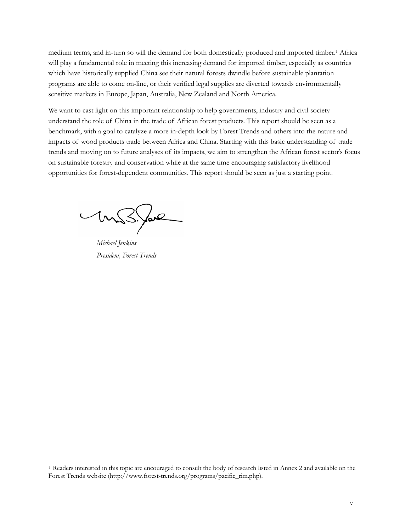medium terms, and in-turn so will the demand for both domestically produced and imported timber.1 Africa will play a fundamental role in meeting this increasing demand for imported timber, especially as countries which have historically supplied China see their natural forests dwindle before sustainable plantation programs are able to come on-line, or their verified legal supplies are diverted towards environmentally sensitive markets in Europe, Japan, Australia, New Zealand and North America.

We want to cast light on this important relationship to help governments, industry and civil society understand the role of China in the trade of African forest products. This report should be seen as a benchmark, with a goal to catalyze a more in-depth look by Forest Trends and others into the nature and impacts of wood products trade between Africa and China. Starting with this basic understanding of trade trends and moving on to future analyses of its impacts, we aim to strengthen the African forest sector's focus on sustainable forestry and conservation while at the same time encouraging satisfactory livelihood opportunities for forest-dependent communities. This report should be seen as just a starting point.

forl

*Michael Jenkins President, Forest Trends* 

 $\overline{a}$ 

<sup>1</sup> Readers interested in this topic are encouraged to consult the body of research listed in Annex 2 and available on the Forest Trends website (http://www.forest-trends.org/programs/pacific\_rim.php).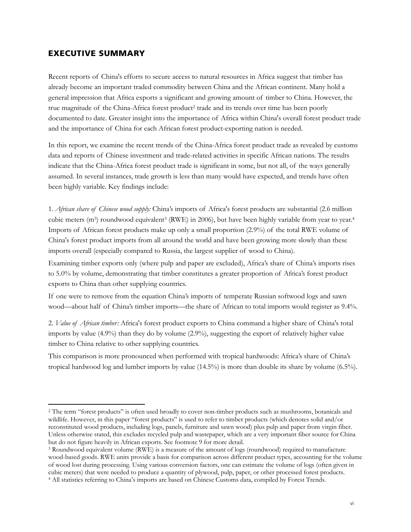## **EXECUTIVE SUMMARY**

 $\overline{a}$ 

Recent reports of China's efforts to secure access to natural resources in Africa suggest that timber has already become an important traded commodity between China and the African continent. Many hold a general impression that Africa exports a significant and growing amount of timber to China. However, the true magnitude of the China-Africa forest product2 trade and its trends over time has been poorly documented to date. Greater insight into the importance of Africa within China's overall forest product trade and the importance of China for each African forest product-exporting nation is needed.

In this report, we examine the recent trends of the China-Africa forest product trade as revealed by customs data and reports of Chinese investment and trade-related activities in specific African nations. The results indicate that the China-Africa forest product trade is significant in some, but not all, of the ways generally assumed. In several instances, trade growth is less than many would have expected, and trends have often been highly variable. Key findings include:

1. *African share of Chinese wood supply:* China's imports of Africa's forest products are substantial (2.6 million cubic meters (m<sup>3</sup>) roundwood equivalent<sup>3</sup> (RWE) in 2006), but have been highly variable from year to year.<sup>4</sup> Imports of African forest products make up only a small proportion (2.9%) of the total RWE volume of China's forest product imports from all around the world and have been growing more slowly than these imports overall (especially compared to Russia, the largest supplier of wood to China).

Examining timber exports only (where pulp and paper are excluded), Africa's share of China's imports rises to 5.0% by volume, demonstrating that timber constitutes a greater proportion of Africa's forest product exports to China than other supplying countries.

If one were to remove from the equation China's imports of temperate Russian softwood logs and sawn wood—about half of China's timber imports—the share of African to total imports would register as 9.4%.

2. *Value of African timber:* Africa's forest product exports to China command a higher share of China's total imports by value (4.9%) than they do by volume (2.9%), suggesting the export of relatively higher value timber to China relative to other supplying countries.

This comparison is more pronounced when performed with tropical hardwoods: Africa's share of China's tropical hardwood log and lumber imports by value (14.5%) is more than double its share by volume (6.5%).

<sup>&</sup>lt;sup>2</sup> The term "forest products" is often used broadly to cover non-timber products such as mushrooms, botanicals and wildlife. However, in this paper "forest products" is used to refer to timber products (which denotes solid and/or reconstituted wood products, including logs, panels, furniture and sawn wood) plus pulp and paper from virgin fiber. Unless otherwise stated, this excludes recycled pulp and wastepaper, which are a very important fiber source for China but do not figure heavily in African exports. See footnote 9 for more detail.<br><sup>3</sup> Roundwood equivalent volume (RWE) is a measure of the amount of logs (roundwood) required to manufacture

wood-based goods. RWE units provide a basis for comparison across different product types, accounting for the volume of wood lost during processing. Using various conversion factors, one can estimate the volume of logs (often given in cubic meters) that were needed to produce a quantity of plywood, pulp, paper, or other processed forest products. 4 All statistics referring to China's imports are based on Chinese Customs data, compiled by Forest Trends.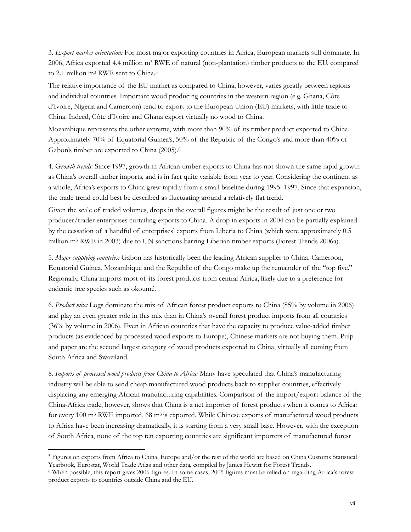3. *Export market orientation:* For most major exporting countries in Africa, European markets still dominate. In 2006, Africa exported 4.4 million m3 RWE of natural (non-plantation) timber products to the EU, compared to 2.1 million m<sup>3</sup> RWE sent to China.<sup>5</sup>

The relative importance of the EU market as compared to China, however, varies greatly between regions and individual countries. Important wood producing countries in the western region (e.g. Ghana, Côte d'Ivoire, Nigeria and Cameroon) tend to export to the European Union (EU) markets, with little trade to China. Indeed, Côte d'Ivoire and Ghana export virtually no wood to China.

Mozambique represents the other extreme, with more than 90% of its timber product exported to China. Approximately 70% of Equatorial Guinea's, 50% of the Republic of the Congo's and more than 40% of Gabon's timber are exported to China (2005).6

4. G*rowth trends:* Since 1997, growth in African timber exports to China has not shown the same rapid growth as China's overall timber imports, and is in fact quite variable from year to year. Considering the continent as a whole, Africa's exports to China grew rapidly from a small baseline during 1995–1997. Since that expansion, the trade trend could best be described as fluctuating around a relatively flat trend.

Given the scale of traded volumes, drops in the overall figures might be the result of just one or two producer/trader enterprises curtailing exports to China. A drop in exports in 2004 can be partially explained by the cessation of a handful of enterprises' exports from Liberia to China (which were approximately 0.5 million m3 RWE in 2003) due to UN sanctions barring Liberian timber exports (Forest Trends 2006a).

5. *Major supplying countries:* Gabon has historically been the leading African supplier to China. Cameroon, Equatorial Guinea, Mozambique and the Republic of the Congo make up the remainder of the "top five." Regionally, China imports most of its forest products from central Africa, likely due to a preference for endemic tree species such as okoumé.

6. *Product mix:* Logs dominate the mix of African forest product exports to China (85% by volume in 2006) and play an even greater role in this mix than in China's overall forest product imports from all countries (36% by volume in 2006). Even in African countries that have the capacity to produce value-added timber products (as evidenced by processed wood exports to Europe), Chinese markets are not buying them. Pulp and paper are the second largest category of wood products exported to China, virtually all coming from South Africa and Swaziland.

8. *Imports of processed wood products from China to Africa:* Many have speculated that China's manufacturing industry will be able to send cheap manufactured wood products back to supplier countries, effectively displacing any emerging African manufacturing capabilities. Comparison of the import/export balance of the China-Africa trade, however, shows that China is a net importer of forest products when it comes to Africa: for every 100 m<sup>3</sup> RWE imported, 68 m<sup>3</sup> is exported. While Chinese exports of manufactured wood products to Africa have been increasing dramatically, it is starting from a very small base. However, with the exception of South Africa, none of the top ten exporting countries are significant importers of manufactured forest

 $\overline{a}$ 

<sup>5</sup> Figures on exports from Africa to China, Europe and/or the rest of the world are based on China Customs Statistical Yearbook, Eurostat, World Trade Atlas and other data, compiled by James Hewitt for Forest Trends. 6 When possible, this report gives 2006 figures. In some cases, 2005 figures must be relied on regarding Africa's forest

product exports to countries outside China and the EU.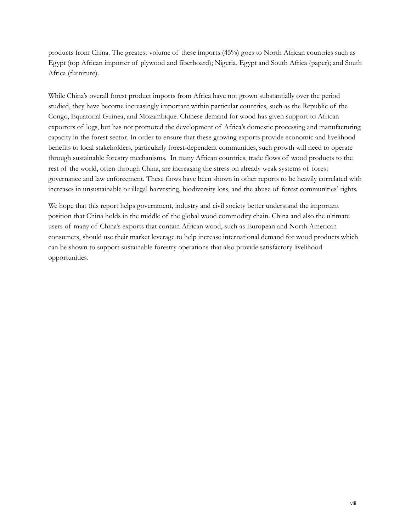products from China. The greatest volume of these imports (45%) goes to North African countries such as Egypt (top African importer of plywood and fiberboard); Nigeria, Egypt and South Africa (paper); and South Africa (furniture).

While China's overall forest product imports from Africa have not grown substantially over the period studied, they have become increasingly important within particular countries, such as the Republic of the Congo, Equatorial Guinea, and Mozambique. Chinese demand for wood has given support to African exporters of logs, but has not promoted the development of Africa's domestic processing and manufacturing capacity in the forest sector. In order to ensure that these growing exports provide economic and livelihood benefits to local stakeholders, particularly forest-dependent communities, such growth will need to operate through sustainable forestry mechanisms. In many African countries, trade flows of wood products to the rest of the world, often through China, are increasing the stress on already weak systems of forest governance and law enforcement. These flows have been shown in other reports to be heavily correlated with increases in unsustainable or illegal harvesting, biodiversity loss, and the abuse of forest communities' rights.

We hope that this report helps government, industry and civil society better understand the important position that China holds in the middle of the global wood commodity chain. China and also the ultimate users of many of China's exports that contain African wood, such as European and North American consumers, should use their market leverage to help increase international demand for wood products which can be shown to support sustainable forestry operations that also provide satisfactory livelihood opportunities.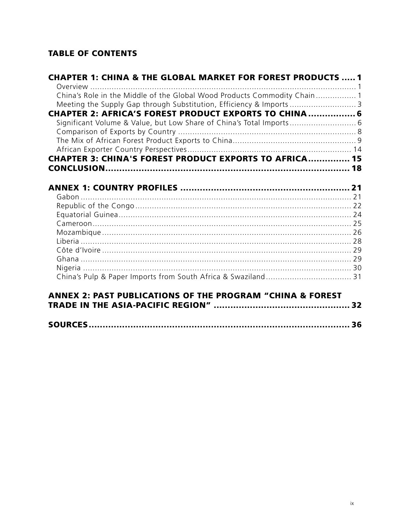## **TABLE OF CONTENTS**

| <b>CHAPTER 1: CHINA &amp; THE GLOBAL MARKET FOR FOREST PRODUCTS  1</b>   |  |
|--------------------------------------------------------------------------|--|
| China's Role in the Middle of the Global Wood Products Commodity Chain 1 |  |
| Meeting the Supply Gap through Substitution, Efficiency & Imports  3     |  |
| <b>CHAPTER 2: AFRICA'S FOREST PRODUCT EXPORTS TO CHINA 6</b>             |  |
| Significant Volume & Value, but Low Share of China's Total Imports 6     |  |
|                                                                          |  |
|                                                                          |  |
|                                                                          |  |
| <b>CHAPTER 3: CHINA'S FOREST PRODUCT EXPORTS TO AFRICA 15</b>            |  |
|                                                                          |  |
|                                                                          |  |
|                                                                          |  |
|                                                                          |  |
|                                                                          |  |
|                                                                          |  |
|                                                                          |  |
|                                                                          |  |
|                                                                          |  |
|                                                                          |  |
|                                                                          |  |
|                                                                          |  |
|                                                                          |  |
| ANNEX 2: PAST PUBLICATIONS OF THE PROGRAM "CHINA & FOREST                |  |
|                                                                          |  |
|                                                                          |  |

|--|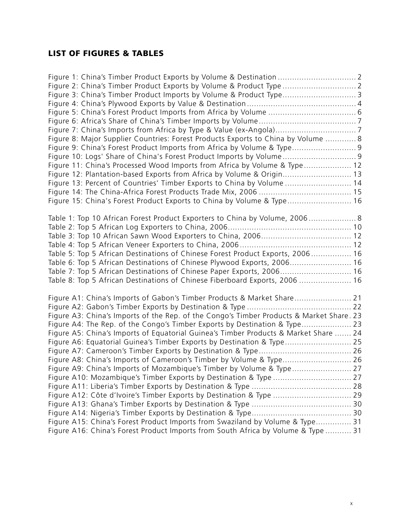## **LIST OF FIGURES & TABLES**

| Figure 2: China's Timber Product Exports by Volume & Product Type  2                     |  |
|------------------------------------------------------------------------------------------|--|
| Figure 3: China's Timber Product Imports by Volume & Product Type 3                      |  |
|                                                                                          |  |
|                                                                                          |  |
|                                                                                          |  |
|                                                                                          |  |
| Figure 8: Major Supplier Countries: Forest Products Exports to China by Volume  8        |  |
| Figure 9: China's Forest Product Imports from Africa by Volume & Type 9                  |  |
| Figure 10: Logs' Share of China's Forest Product Imports by Volume 9                     |  |
| Figure 11: China's Processed Wood Imports from Africa by Volume & Type 12                |  |
| Figure 12: Plantation-based Exports from Africa by Volume & Origin 13                    |  |
| Figure 13: Percent of Countries' Timber Exports to China by Volume  14                   |  |
|                                                                                          |  |
| Figure 15: China's Forest Product Exports to China by Volume & Type 16                   |  |
|                                                                                          |  |
| Table 1: Top 10 African Forest Product Exporters to China by Volume, 2006 8              |  |
|                                                                                          |  |
|                                                                                          |  |
|                                                                                          |  |
| Table 5: Top 5 African Destinations of Chinese Forest Product Exports, 2006 16           |  |
| Table 6: Top 5 African Destinations of Chinese Plywood Exports, 2006 16                  |  |
| Table 7: Top 5 African Destinations of Chinese Paper Exports, 2006 16                    |  |
| Table 8: Top 5 African Destinations of Chinese Fiberboard Exports, 2006  16              |  |
|                                                                                          |  |
| Figure A1: China's Imports of Gabon's Timber Products & Market Share 21                  |  |
|                                                                                          |  |
| Figure A3: China's Imports of the Rep. of the Congo's Timber Products & Market Share. 23 |  |
| Figure A4: The Rep. of the Congo's Timber Exports by Destination & Type 23               |  |
| Figure A5: China's Imports of Equatorial Guinea's Timber Products & Market Share  24     |  |
| Figure A6: Equatorial Guinea's Timber Exports by Destination & Type 25                   |  |
|                                                                                          |  |
| Figure A8: China's Imports of Cameroon's Timber by Volume & Type 26                      |  |
|                                                                                          |  |
| Figure A10: Mozambique's Timber Exports by Destination & Type  27                        |  |
|                                                                                          |  |
| Figure A12: Côte d'Ivoire's Timber Exports by Destination & Type  29                     |  |
|                                                                                          |  |
|                                                                                          |  |
| Figure A15: China's Forest Product Imports from Swaziland by Volume & Type 31            |  |
| Figure A16: China's Forest Product Imports from South Africa by Volume & Type  31        |  |
|                                                                                          |  |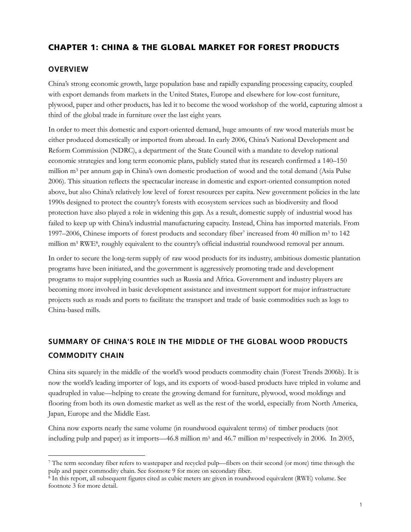## **CHAPTER 1: CHINA & THE GLOBAL MARKET FOR FOREST PRODUCTS**

#### **OVERVIEW**

 $\overline{a}$ 

China's strong economic growth, large population base and rapidly expanding processing capacity, coupled with export demands from markets in the United States, Europe and elsewhere for low-cost furniture, plywood, paper and other products, has led it to become the wood workshop of the world, capturing almost a third of the global trade in furniture over the last eight years.

In order to meet this domestic and export-oriented demand, huge amounts of raw wood materials must be either produced domestically or imported from abroad. In early 2006, China's National Development and Reform Commission (NDRC), a department of the State Council with a mandate to develop national economic strategies and long term economic plans, publicly stated that its research confirmed a 140–150 million m3 per annum gap in China's own domestic production of wood and the total demand (Asia Pulse 2006). This situation reflects the spectacular increase in domestic and export-oriented consumption noted above, but also China's relatively low level of forest resources per capita. New government policies in the late 1990s designed to protect the country's forests with ecosystem services such as biodiversity and flood protection have also played a role in widening this gap. As a result, domestic supply of industrial wood has failed to keep up with China's industrial manufacturing capacity. Instead, China has imported materials. From 1997–2006, Chinese imports of forest products and secondary fiber7 increased from 40 million m3 to 142 million m3 RWE8, roughly equivalent to the country's official industrial roundwood removal per annum.

In order to secure the long-term supply of raw wood products for its industry, ambitious domestic plantation programs have been initiated, and the government is aggressively promoting trade and development programs to major supplying countries such as Russia and Africa. Government and industry players are becoming more involved in basic development assistance and investment support for major infrastructure projects such as roads and ports to facilitate the transport and trade of basic commodities such as logs to China-based mills.

## **SUMMARY OF CHINA**'**S ROLE IN THE MIDDLE OF THE GLOBAL WOOD PRODUCTS COMMODITY CHAIN**

China sits squarely in the middle of the world's wood products commodity chain (Forest Trends 2006b). It is now the world's leading importer of logs, and its exports of wood-based products have tripled in volume and quadrupled in value—helping to create the growing demand for furniture, plywood, wood moldings and flooring from both its own domestic market as well as the rest of the world, especially from North America, Japan, Europe and the Middle East.

China now exports nearly the same volume (in roundwood equivalent terms) of timber products (not including pulp and paper) as it imports—46.8 million m<sup>3</sup> and 46.7 million m<sup>3</sup> respectively in 2006. In 2005,

<sup>7</sup> The term secondary fiber refers to wastepaper and recycled pulp—fibers on their second (or more) time through the pulp and paper commodity chain. See footnote 9 for more on secondary fiber.

<sup>&</sup>lt;sup>8</sup> In this report, all subsequent figures cited as cubic meters are given in roundwood equivalent (RWE) volume. See footnote 3 for more detail.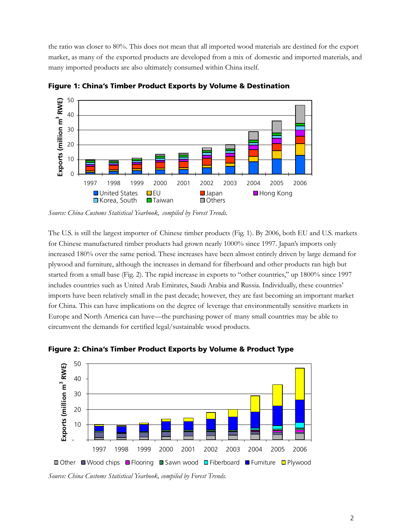the ratio was closer to 80%. This does not mean that all imported wood materials are destined for the export market, as many of the exported products are developed from a mix of domestic and imported materials, and many imported products are also ultimately consumed within China itself.



**Figure 1: China's Timber Product Exports by Volume & Destination** 

The U.S. is still the largest importer of Chinese timber products (Fig. 1). By 2006, both EU and U.S. markets for Chinese manufactured timber products had grown nearly 1000% since 1997. Japan's imports only increased 180% over the same period. These increases have been almost entirely driven by large demand for plywood and furniture, although the increases in demand for fiberboard and other products ran high but started from a small base (Fig. 2). The rapid increase in exports to "other countries," up 1800% since 1997 includes countries such as United Arab Emirates, Saudi Arabia and Russia. Individually, these countries' imports have been relatively small in the past decade; however, they are fast becoming an important market for China. This can have implications on the degree of leverage that environmentally sensitive markets in Europe and North America can have—the purchasing power of many small countries may be able to circumvent the demands for certified legal/sustainable wood products.



**Figure 2: China's Timber Product Exports by Volume & Product Type** 

*Source: China Customs Statistical Yearbook, compiled by Forest Trends.* 

*Source: China Customs Statistical Yearbook, compiled by Forest Trends.*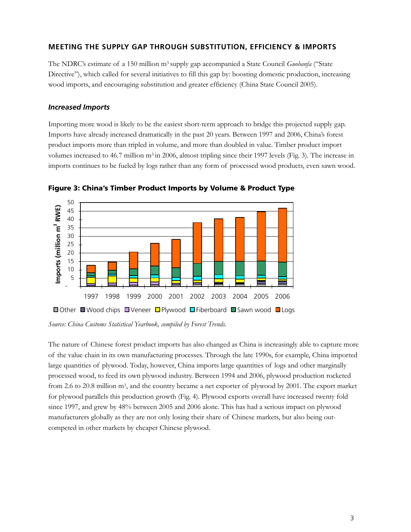## **MEETING THE SUPPLY GAP THROUGH SUBSTITUTION, EFFICIENCY & IMPORTS**

The NDRC's estimate of a 150 million m3 supply gap accompanied a State Council *Guobanfa* ("State Directive"), which called for several initiatives to fill this gap by: boosting domestic production, increasing wood imports, and encouraging substitution and greater efficiency (China State Council 2005).

#### *Increased Imports*

Importing more wood is likely to be the easiest short-term approach to bridge this projected supply gap. Imports have already increased dramatically in the past 20 years. Between 1997 and 2006, China's forest product imports more than tripled in volume, and more than doubled in value. Timber product import volumes increased to 46.7 million m<sup>3</sup> in 2006, almost tripling since their 1997 levels (Fig. 3). The increase in imports continues to be fueled by logs rather than any form of processed wood products, even sawn wood.



**Figure 3: China's Timber Product Imports by Volume & Product Type** 

*Source: China Customs Statistical Yearbook, compiled by Forest Trends.* 

The nature of Chinese forest product imports has also changed as China is increasingly able to capture more of the value chain in its own manufacturing processes. Through the late 1990s, for example, China imported large quantities of plywood. Today, however, China imports large quantities of logs and other marginally processed wood, to feed its own plywood industry. Between 1994 and 2006, plywood production rocketed from 2.6 to 20.8 million m3, and the country became a net exporter of plywood by 2001. The export market for plywood parallels this production growth (Fig. 4). Plywood exports overall have increased twenty fold since 1997, and grew by 48% between 2005 and 2006 alone. This has had a serious impact on plywood manufacturers globally as they are not only losing their share of Chinese markets, but also being outcompeted in other markets by cheaper Chinese plywood.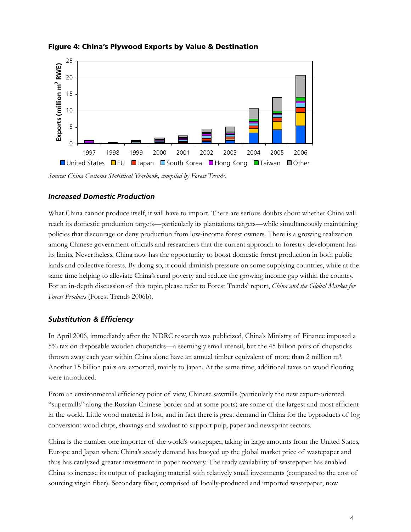

## **Figure 4: China's Plywood Exports by Value & Destination**

*Source: China Customs Statistical Yearbook, compiled by Forest Trends.* 

## *Increased Domestic Production*

What China cannot produce itself, it will have to import. There are serious doubts about whether China will reach its domestic production targets—particularly its plantations targets—while simultaneously maintaining policies that discourage or deny production from low-income forest owners. There is a growing realization among Chinese government officials and researchers that the current approach to forestry development has its limits. Nevertheless, China now has the opportunity to boost domestic forest production in both public lands and collective forests. By doing so, it could diminish pressure on some supplying countries, while at the same time helping to alleviate China's rural poverty and reduce the growing income gap within the country. For an in-depth discussion of this topic, please refer to Forest Trends' report, *China and the Global Market for Forest Products* (Forest Trends 2006b).

## *Substitution & Efficiency*

In April 2006, immediately after the NDRC research was publicized, China's Ministry of Finance imposed a 5% tax on disposable wooden chopsticks—a seemingly small utensil, but the 45 billion pairs of chopsticks thrown away each year within China alone have an annual timber equivalent of more than 2 million m3. Another 15 billion pairs are exported, mainly to Japan. At the same time, additional taxes on wood flooring were introduced.

From an environmental efficiency point of view, Chinese sawmills (particularly the new export-oriented "supermills" along the Russian-Chinese border and at some ports) are some of the largest and most efficient in the world. Little wood material is lost, and in fact there is great demand in China for the byproducts of log conversion: wood chips, shavings and sawdust to support pulp, paper and newsprint sectors.

China is the number one importer of the world's wastepaper, taking in large amounts from the United States, Europe and Japan where China's steady demand has buoyed up the global market price of wastepaper and thus has catalyzed greater investment in paper recovery. The ready availability of wastepaper has enabled China to increase its output of packaging material with relatively small investments (compared to the cost of sourcing virgin fiber). Secondary fiber, comprised of locally-produced and imported wastepaper, now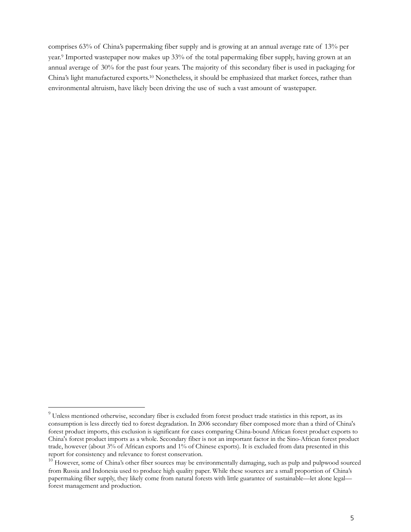comprises 63% of China's papermaking fiber supply and is growing at an annual average rate of 13% per year.9 Imported wastepaper now makes up 33% of the total papermaking fiber supply, having grown at an annual average of 30% for the past four years. The majority of this secondary fiber is used in packaging for China's light manufactured exports.10 Nonetheless, it should be emphasized that market forces, rather than environmental altruism, have likely been driving the use of such a vast amount of wastepaper.

 $\overline{a}$  $9$  Unless mentioned otherwise, secondary fiber is excluded from forest product trade statistics in this report, as its consumption is less directly tied to forest degradation. In 2006 secondary fiber composed more than a third of China's forest product imports, this exclusion is significant for cases comparing China-bound African forest product exports to China's forest product imports as a whole. Secondary fiber is not an important factor in the Sino-African forest product trade, however (about 3% of African exports and 1% of Chinese exports). It is excluded from data presented in this report for consistency and relevance to forest conservation.

 $10$  However, some of China's other fiber sources may be environmentally damaging, such as pulp and pulpwood sourced from Russia and Indonesia used to produce high quality paper. While these sources are a small proportion of China's papermaking fiber supply, they likely come from natural forests with little guarantee of sustainable—let alone legal forest management and production.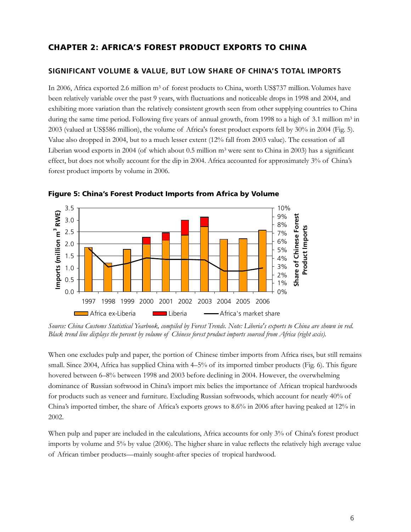## **CHAPTER 2: AFRICA'S FOREST PRODUCT EXPORTS TO CHINA**

#### **SIGNIFICANT VOLUME & VALUE, BUT LOW SHARE OF CHINA'S TOTAL IMPORTS**

In 2006, Africa exported 2.6 million m<sup>3</sup> of forest products to China, worth US\$737 million. Volumes have been relatively variable over the past 9 years, with fluctuations and noticeable drops in 1998 and 2004, and exhibiting more variation than the relatively consistent growth seen from other supplying countries to China during the same time period. Following five years of annual growth, from 1998 to a high of 3.1 million m<sup>3</sup> in 2003 (valued at US\$586 million), the volume of Africa's forest product exports fell by 30% in 2004 (Fig. 5). Value also dropped in 2004, but to a much lesser extent (12% fall from 2003 value). The cessation of all Liberian wood exports in 2004 (of which about 0.5 million  $m<sup>3</sup>$  were sent to China in 2003) has a significant effect, but does not wholly account for the dip in 2004. Africa accounted for approximately 3% of China's forest product imports by volume in 2006.



**Figure 5: China's Forest Product Imports from Africa by Volume** 

*Source: China Customs Statistical Yearbook, compiled by Forest Trends. Note: Liberia's exports to China are shown in red. Black trend line displays the percent by volume of Chinese forest product imports sourced from Africa (right axis).* 

When one excludes pulp and paper, the portion of Chinese timber imports from Africa rises, but still remains small. Since 2004, Africa has supplied China with 4–5% of its imported timber products (Fig. 6). This figure hovered between 6–8% between 1998 and 2003 before declining in 2004. However, the overwhelming dominance of Russian softwood in China's import mix belies the importance of African tropical hardwoods for products such as veneer and furniture. Excluding Russian softwoods, which account for nearly 40% of China's imported timber, the share of Africa's exports grows to 8.6% in 2006 after having peaked at 12% in 2002.

When pulp and paper are included in the calculations, Africa accounts for only 3% of China's forest product imports by volume and 5% by value (2006). The higher share in value reflects the relatively high average value of African timber products—mainly sought-after species of tropical hardwood.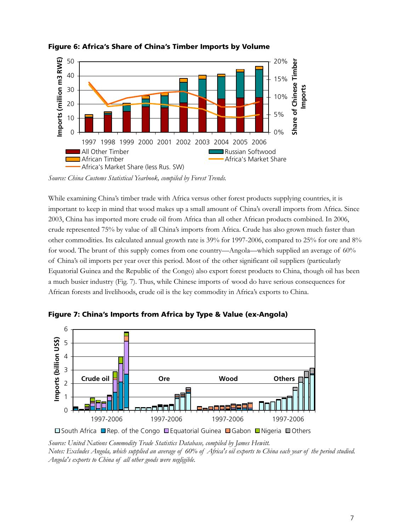

## **Figure 6: Africa's Share of China's Timber Imports by Volume**

*Source: China Customs Statistical Yearbook, compiled by Forest Trends.* 

While examining China's timber trade with Africa versus other forest products supplying countries, it is important to keep in mind that wood makes up a small amount of China's overall imports from Africa. Since 2003, China has imported more crude oil from Africa than all other African products combined. In 2006, crude represented 75% by value of all China's imports from Africa. Crude has also grown much faster than other commodities. Its calculated annual growth rate is 39% for 1997-2006, compared to 25% for ore and 8% for wood. The brunt of this supply comes from one country—Angola—which supplied an average of 60% of China's oil imports per year over this period. Most of the other significant oil suppliers (particularly Equatorial Guinea and the Republic of the Congo) also export forest products to China, though oil has been a much busier industry (Fig. 7). Thus, while Chinese imports of wood do have serious consequences for African forests and livelihoods, crude oil is the key commodity in Africa's exports to China.



**Figure 7: China's Imports from Africa by Type & Value (ex-Angola)** 

□ South Africa ■ Rep. of the Congo ■ Equatorial Guinea ■ Gabon ■ Nigeria ■ Others

*Source: United Nations Commodity Trade Statistics Database, compiled by James Hewitt. Notes: Excludes Angola, which supplied an average of 60% of Africa's oil exports to China each year of the period studied. Angola's exports to China of all other goods were negligible.*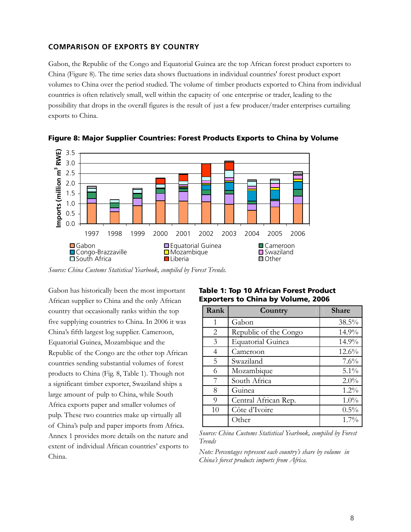#### **COMPARISON OF EXPORTS BY COUNTRY**

Gabon, the Republic of the Congo and Equatorial Guinea are the top African forest product exporters to China (Figure 8). The time series data shows fluctuations in individual countries' forest product export volumes to China over the period studied. The volume of timber products exported to China from individual countries is often relatively small, well within the capacity of one enterprise or trader, leading to the possibility that drops in the overall figures is the result of just a few producer/trader enterprises curtailing exports to China.





*Source: China Customs Statistical Yearbook, compiled by Forest Trends.* 

Gabon has historically been the most important African supplier to China and the only African country that occasionally ranks within the top five supplying countries to China. In 2006 it was China's fifth largest log supplier. Cameroon, Equatorial Guinea, Mozambique and the Republic of the Congo are the other top African countries sending substantial volumes of forest products to China (Fig. 8, Table 1). Though not a significant timber exporter, Swaziland ships a large amount of pulp to China, while South Africa exports paper and smaller volumes of pulp. These two countries make up virtually all of China's pulp and paper imports from Africa. Annex 1 provides more details on the nature and extent of individual African countries' exports to China.

|  | <b>Table 1: Top 10 African Forest Product</b> |  |
|--|-----------------------------------------------|--|
|  | <b>Exporters to China by Volume, 2006</b>     |  |

| Rank | Country                  | <b>Share</b> |
|------|--------------------------|--------------|
| 1    | Gabon                    | 38.5%        |
| 2    | Republic of the Congo    | 14.9%        |
| 3    | <b>Equatorial Guinea</b> | 14.9%        |
| 4    | Cameroon                 | 12.6%        |
| 5    | Swaziland                | $7.6\%$      |
| 6    | Mozambique               | $5.1\%$      |
| 7    | South Africa             | 2.0%         |
| 8    | Guinea                   | $1.2\%$      |
| 9    | Central African Rep.     | 1.0%         |
| 10   | Côte d'Ivoire            | $0.5\%$      |
|      | Other                    | $1.7\%$      |

*Source: China Customs Statistical Yearbook, compiled by Forest Trends* 

*Note: Percentages represent each country's share by volume in China's forest products imports from Africa.*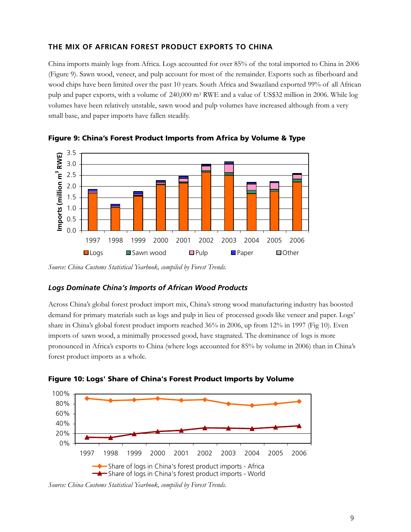## **THE MIX OF AFRICAN FOREST PRODUCT EXPORTS TO CHINA**

China imports mainly logs from Africa. Logs accounted for over 85% of the total imported to China in 2006 (Figure 9). Sawn wood, veneer, and pulp account for most of the remainder. Exports such as fiberboard and wood chips have been limited over the past 10 years. South Africa and Swaziland exported 99% of all African pulp and paper exports, with a volume of 240,000 m3 RWE and a value of US\$32 million in 2006. While log volumes have been relatively unstable, sawn wood and pulp volumes have increased although from a very small base, and paper imports have fallen steadily.



**Figure 9: China's Forest Product Imports from Africa by Volume & Type** 

## *Logs Dominate China's Imports of African Wood Products*

Across China's global forest product import mix, China's strong wood manufacturing industry has boosted demand for primary materials such as logs and pulp in lieu of processed goods like veneer and paper. Logs' share in China's global forest product imports reached 36% in 2006, up from 12% in 1997 (Fig 10). Even imports of sawn wood, a minimally processed good, have stagnated. The dominance of logs is more pronounced in Africa's exports to China (where logs accounted for 85% by volume in 2006) than in China's forest product imports as a whole.





*Source: China Customs Statistical Yearbook, compiled by Forest Trends.* 

*Source: China Customs Statistical Yearbook, compiled by Forest Trends.*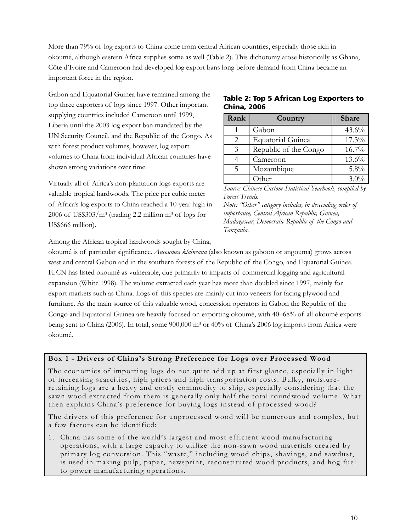More than 79% of log exports to China come from central African countries, especially those rich in okoumé, although eastern Africa supplies some as well (Table 2). This dichotomy arose historically as Ghana, Côte d'Ivoire and Cameroon had developed log export bans long before demand from China became an important force in the region.

Gabon and Equatorial Guinea have remained among the top three exporters of logs since 1997. Other important supplying countries included Cameroon until 1999, Liberia until the 2003 log export ban mandated by the UN Security Council, and the Republic of the Congo. As with forest product volumes, however, log export volumes to China from individual African countries have shown strong variations over time.

Virtually all of Africa's non-plantation logs exports are valuable tropical hardwoods. The price per cubic meter of Africa's log exports to China reached a 10-year high in 2006 of US\$303/ $m<sup>3</sup>$  (trading 2.2 million  $m<sup>3</sup>$  of logs for US\$666 million).

**Table 2: Top 5 African Log Exporters to China, 2006** 

| Rank                        | Country                  | <b>Share</b> |
|-----------------------------|--------------------------|--------------|
|                             | Gabon                    | 43.6%        |
| $\mathcal{D}_{\mathcal{L}}$ | <b>Equatorial Guinea</b> | $17.3\%$     |
| 3                           | Republic of the Congo    | $16.7\%$     |
|                             | Cameroon                 | $13.6\%$     |
| 5                           | Mozambique               | $5.8\%$      |
|                             | ∩ther                    | $3.0\%$      |

*Source: Chinese Custom Statistical Yearbook, compiled by Forest Trends.* 

*Note: "Other" category includes, in descending order of importance, Central African Republic, Guinea, Madagascar, Democratic Republic of the Congo and Tanzania.* 

Among the African tropical hardwoods sought by China,

okoumé is of particular significance. *Aucoumea klaineana* (also known as gaboon or angouma) grows across west and central Gabon and in the southern forests of the Republic of the Congo, and Equatorial Guinea. IUCN has listed okoumé as vulnerable, due primarily to impacts of commercial logging and agricultural expansion (White 1998). The volume extracted each year has more than doubled since 1997, mainly for export markets such as China. Logs of this species are mainly cut into veneers for facing plywood and furniture. As the main source of this valuable wood, concession operators in Gabon the Republic of the Congo and Equatorial Guinea are heavily focused on exporting okoumé, with 40–68% of all okoumé exports being sent to China (2006). In total, some 900,000 m3 or 40% of China's 2006 log imports from Africa were okoumé.

## **Box 1 - Drivers of China's Strong Preference for Logs over Processed Wood**

The economics of importing logs do not quite add up at first glance, especially in light of increasing scarcities, high prices and high transportation costs. Bulky, moistureretaining logs are a heavy and costly commodity to ship, especially considering that the sawn wood extracted from them is generally only half the total roundwood volume. What then explains China's preference for buying logs instead of processed wood?

The drivers of this preference for unprocessed wood will be numerous and complex, but a few factors can be identified:

1. China has some of the world's largest and most efficient wood manufacturing operations, with a large capacity to utilize the non-sawn wood materials created by primary log conversion. This "waste," including wood chips, shavings, and sawdust, is used in making pulp, paper, newsprint, reconstituted wood products, and hog fuel to power manufacturing operations.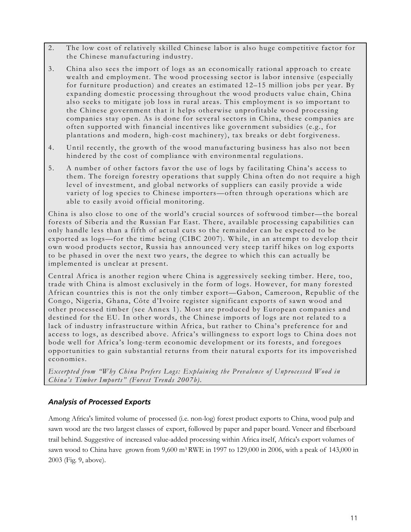- 2. The low cost of relatively skilled Chinese labor is also huge competitive factor for the Chinese manufacturing industry.
- 3. China also sees the import of logs as an economically rational approach to create wealth and employment. The wood processing sector is labor intensive (especially for furniture production) and creates an estimated 12–15 million jobs per year. By expanding domestic processing throughout the wood products value chain, China also seeks to mitigate job loss in rural areas. This employment is so important to the Chinese government that it helps otherwise unprofitable wood processing companies stay open. As is done for several sectors in China, these companies are often supported with financial incentives like government subsidies (e.g., for plantations and modern, high-cost machinery), tax breaks or debt forgiveness.
- 4. Until recently, the growth of the wood manufacturing business has also not been hindered by the cost of compliance with environmental regulations.
- 5. A number of other factors favor the use of logs by facilitating China's access to them. The foreign forestry operations that supply China often do not require a high level of investment, and global networks of suppliers can easily provide a wide variety of log species to Chinese importers—often through operations which are able to easily avoid official monitoring.

China is also close to one of the world's crucial sources of softwood timber—the boreal forests of Siberia and the Russian Far East. There, available processing capabilities can only handle less than a fifth of actual cuts so the remainder can be expected to be exported as logs—for the time being (CIBC 2007). While, in an attempt to develop their own wood products sector, Russia has announced very steep tariff hikes on log exports to be phased in over the next two years, the degree to which this can actually be implemented is unclear at present.

Central Africa is another region where China is aggressively seeking timber. Here, too, trade with China is almost exclusively in the form of logs. However, for many forested African countries this is not the only timber export—Gabon, Cameroon, Republic of the Congo, Nigeria, Ghana, Côte d'Ivoire register significant exports of sawn wood and other processed timber (see Annex 1). Most are produced by European companies and destined for the EU. In other words, the Chinese imports of logs are not related to a lack of industry infrastructure within Africa, but rather to China's preference for and access to logs, as described above. Africa's willingness to export logs to China does not bode well for Africa's long-term economic development or its forests, and foregoes opportunities to gain substantial returns from their natural exports for its impoverished economies.

*Excerpted from "Why China Prefers Logs: Explaining the Prevalence of Unprocessed Wood in China's Timber Imports" (Forest Trends 2007b).* 

## *Analysis of Processed Exports*

Among Africa's limited volume of processed (i.e. non-log) forest product exports to China, wood pulp and sawn wood are the two largest classes of export, followed by paper and paper board. Veneer and fiberboard trail behind. Suggestive of increased value-added processing within Africa itself, Africa's export volumes of sawn wood to China have grown from 9,600 m3 RWE in 1997 to 129,000 in 2006, with a peak of 143,000 in 2003 (Fig. 9, above).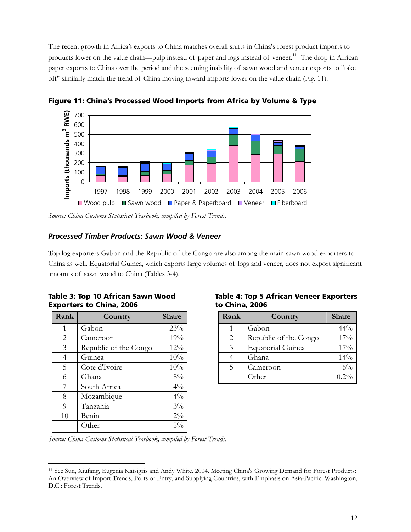The recent growth in Africa's exports to China matches overall shifts in China's forest product imports to products lower on the value chain—pulp instead of paper and logs instead of veneer.<sup>11</sup> The drop in African paper exports to China over the period and the seeming inability of sawn wood and veneer exports to "take off" similarly match the trend of China moving toward imports lower on the value chain (Fig. 11).



**Figure 11: China's Processed Wood Imports from Africa by Volume & Type** 

## *Processed Timber Products: Sawn Wood & Veneer*

Top log exporters Gabon and the Republic of the Congo are also among the main sawn wood exporters to China as well. Equatorial Guinea, which exports large volumes of logs and veneer, does not export significant amounts of sawn wood to China (Tables 3-4).

|  |  |                                 |  | Table 3: Top 10 African Sawn Wood |
|--|--|---------------------------------|--|-----------------------------------|
|  |  | <b>Exporters to China, 2006</b> |  |                                   |

| Rank | Country               | <b>Share</b> |
|------|-----------------------|--------------|
| 1    | Gabon                 | 23%          |
| 2    | Cameroon              | 19%          |
| 3    | Republic of the Congo | 12%          |
| 4    | Guinea                | 10%          |
| 5    | Cote d'Ivoire         | 10%          |
| 6    | Ghana                 | 8%           |
| 7    | South Africa          | $4\%$        |
| 8    | Mozambique            | $4\%$        |
| 9    | Tanzania              | $3\%$        |
| 10   | Benin                 | $2\%$        |
|      | Other                 | $5\%$        |

 $\overline{a}$ 

#### **Table 4: Top 5 African Veneer Exporters to China, 2006**

| Rank                        | Country                  | <b>Share</b> |
|-----------------------------|--------------------------|--------------|
|                             | Gabon                    | 44%          |
| $\mathcal{D}_{\mathcal{L}}$ | Republic of the Congo    | 17%          |
| $\mathcal{E}$               | <b>Equatorial Guinea</b> | 17%          |
|                             | Ghana                    | 14%          |
| 5                           | Cameroon                 | $6\%$        |
|                             | Other                    | $0.2\%$      |

*Source: China Customs Statistical Yearbook, compiled by Forest Trends.* 

*Source: China Customs Statistical Yearbook, compiled by Forest Trends.* 

<sup>11</sup> See Sun, Xiufang, Eugenia Katsigris and Andy White. 2004. Meeting China's Growing Demand for Forest Products: An Overview of Import Trends, Ports of Entry, and Supplying Countries, with Emphasis on Asia-Pacific. Washington, D.C.: Forest Trends.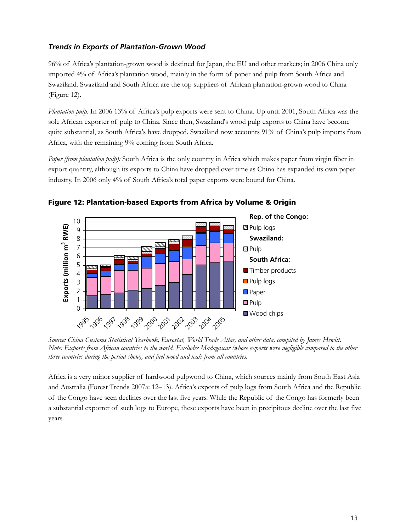## *Trends in Exports of Plantation-Grown Wood*

96% of Africa's plantation-grown wood is destined for Japan, the EU and other markets; in 2006 China only imported 4% of Africa's plantation wood, mainly in the form of paper and pulp from South Africa and Swaziland. Swaziland and South Africa are the top suppliers of African plantation-grown wood to China (Figure 12).

*Plantation pulp:* In 2006 13% of Africa's pulp exports were sent to China. Up until 2001, South Africa was the sole African exporter of pulp to China. Since then, Swaziland's wood pulp exports to China have become quite substantial, as South Africa's have dropped. Swaziland now accounts 91% of China's pulp imports from Africa, with the remaining 9% coming from South Africa.

*Paper (from plantation pulp):* South Africa is the only country in Africa which makes paper from virgin fiber in export quantity, although its exports to China have dropped over time as China has expanded its own paper industry. In 2006 only 4% of South Africa's total paper exports were bound for China.



**Figure 12: Plantation-based Exports from Africa by Volume & Origin** 

*Source: China Customs Statistical Yearbook, Eurostat, World Trade Atlas, and other data, compiled by James Hewitt. Note: Exports from African countries to the world. Excludes Madagascar (whose exports were negligible compared to the other three countries during the period show), and fuel wood and teak from all countries.* 

Africa is a very minor supplier of hardwood pulpwood to China, which sources mainly from South East Asia and Australia (Forest Trends 2007a: 12–13). Africa's exports of pulp logs from South Africa and the Republic of the Congo have seen declines over the last five years. While the Republic of the Congo has formerly been a substantial exporter of such logs to Europe, these exports have been in precipitous decline over the last five years.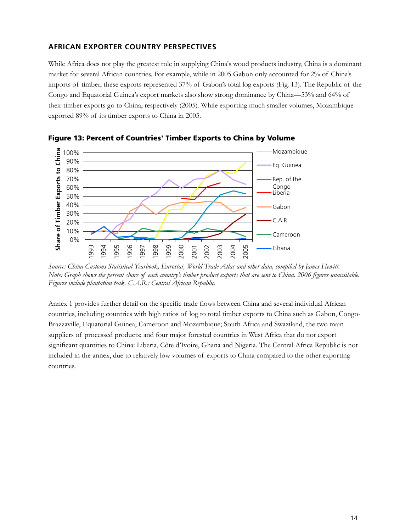## **AFRICAN EXPORTER COUNTRY PERSPECTIVES**

While Africa does not play the greatest role in supplying China's wood products industry, China is a dominant market for several African countries. For example, while in 2005 Gabon only accounted for 2% of China's imports of timber, these exports represented 37% of Gabon's total log exports (Fig. 13). The Republic of the Congo and Equatorial Guinea's export markets also show strong dominance by China—53% and 64% of their timber exports go to China, respectively (2005). While exporting much smaller volumes, Mozambique exported 89% of its timber exports to China in 2005.



**Figure 13: Percent of Countries' Timber Exports to China by Volume** 

*Source: China Customs Statistical Yearbook, Eurostat, World Trade Atlas and other data, compiled by James Hewitt. Note: Graph shows the percent share of each country's timber product exports that are sent to China. 2006 figures unavailable. Figures include plantation teak. C.A.R.: Central African Republic.* 

Annex 1 provides further detail on the specific trade flows between China and several individual African countries, including countries with high ratios of log to total timber exports to China such as Gabon, Congo-Brazzaville, Equatorial Guinea, Cameroon and Mozambique; South Africa and Swaziland, the two main suppliers of processed products; and four major forested countries in West Africa that do not export significant quantities to China: Liberia, Côte d'Ivoire, Ghana and Nigeria. The Central Africa Republic is not included in the annex, due to relatively low volumes of exports to China compared to the other exporting countries.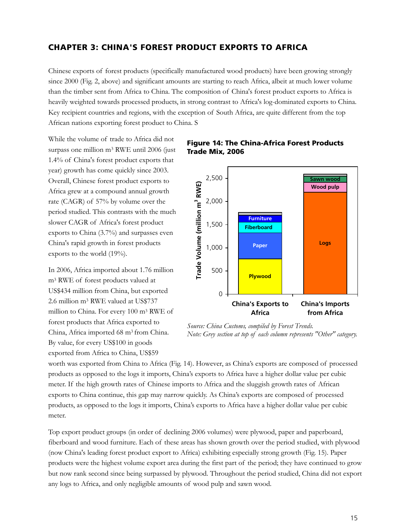## **CHAPTER 3: CHINA'S FOREST PRODUCT EXPORTS TO AFRICA**

Chinese exports of forest products (specifically manufactured wood products) have been growing strongly since 2000 (Fig. 2, above) and significant amounts are starting to reach Africa, albeit at much lower volume than the timber sent from Africa to China. The composition of China's forest product exports to Africa is heavily weighted towards processed products, in strong contrast to Africa's log-dominated exports to China. Key recipient countries and regions, with the exception of South Africa, are quite different from the top African nations exporting forest product to China. S

While the volume of trade to Africa did not surpass one million m3 RWE until 2006 (just 1.4% of China's forest product exports that year) growth has come quickly since 2003. Overall, Chinese forest product exports to Africa grew at a compound annual growth rate (CAGR) of 57% by volume over the period studied. This contrasts with the much slower CAGR of Africa's forest product exports to China (3.7%) and surpasses even China's rapid growth in forest products exports to the world (19%).

In 2006, Africa imported about 1.76 million m3 RWE of forest products valued at US\$434 million from China, but exported 2.6 million m3 RWE valued at US\$737 million to China. For every 100 m3 RWE of forest products that Africa exported to China, Africa imported 68 m3 from China. By value, for every US\$100 in goods exported from Africa to China, US\$59

## **Figure 14: The China-Africa Forest Products Trade Mix, 2006**



*Source: China Customs, compiled by Forest Trends. Note: Grey section at top of each column represents "Other" category.* 

worth was exported from China to Africa (Fig. 14). However, as China's exports are composed of processed products as opposed to the logs it imports, China's exports to Africa have a higher dollar value per cubic meter. If the high growth rates of Chinese imports to Africa and the sluggish growth rates of African exports to China continue, this gap may narrow quickly. As China's exports are composed of processed products, as opposed to the logs it imports, China's exports to Africa have a higher dollar value per cubic meter.

Top export product groups (in order of declining 2006 volumes) were plywood, paper and paperboard, fiberboard and wood furniture. Each of these areas has shown growth over the period studied, with plywood (now China's leading forest product export to Africa) exhibiting especially strong growth (Fig. 15). Paper products were the highest volume export area during the first part of the period; they have continued to grow but now rank second since being surpassed by plywood. Throughout the period studied, China did not export any logs to Africa, and only negligible amounts of wood pulp and sawn wood.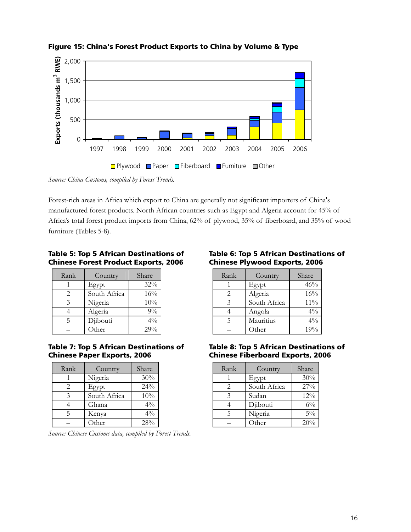

**Figure 15: China's Forest Product Exports to China by Volume & Type** 

*Source: China Customs, compiled by Forest Trends.* 

Forest-rich areas in Africa which export to China are generally not significant importers of China's manufactured forest products. North African countries such as Egypt and Algeria account for 45% of Africa's total forest product imports from China, 62% of plywood, 35% of fiberboard, and 35% of wood furniture (Tables 5-8).

### **Table 5: Top 5 African Destinations of Chinese Forest Product Exports, 2006**

| Rank                        | Country      | Share |
|-----------------------------|--------------|-------|
|                             | Egypt        | 32%   |
| $\mathcal{D}_{\mathcal{L}}$ | South Africa | 16%   |
|                             | Nigeria      | 10%   |
|                             | Algeria      | $9\%$ |
|                             | Djibouti     | $4\%$ |
|                             | Other        | 29%   |

#### **Table 7: Top 5 African Destinations of Chinese Paper Exports, 2006**

| Rank                        | Country      | Share          |
|-----------------------------|--------------|----------------|
|                             | Nigeria      | 30%            |
| $\mathcal{D}_{\mathcal{L}}$ | Egypt        | $24\%$         |
| 3                           | South Africa | 10%            |
|                             | Ghana        | $4\%$          |
| 5                           | Kenya        | $4\frac{0}{0}$ |
|                             | Other        | 28%            |

*Source: Chinese Customs data, compiled by Forest Trends.* 

## **Table 6: Top 5 African Destinations of Chinese Plywood Exports, 2006**

| Rank | Country      | Share  |
|------|--------------|--------|
|      | Egypt        | 46%    |
|      | Algeria      | 16%    |
| 3    | South Africa | $11\%$ |
|      | Angola       | $4\%$  |
|      | Mauritius    | $4\%$  |
|      | Other        | 19%    |

#### **Table 8: Top 5 African Destinations of Chinese Fiberboard Exports, 2006**

| Rank                        | Country      | Share |
|-----------------------------|--------------|-------|
|                             | Egypt        | 30%   |
| $\mathcal{D}_{\mathcal{L}}$ | South Africa | 27%   |
| 3                           | Sudan        | 12%   |
|                             | Djibouti     | $6\%$ |
| 5                           | Nigeria      | $5\%$ |
|                             | Other        | 20%   |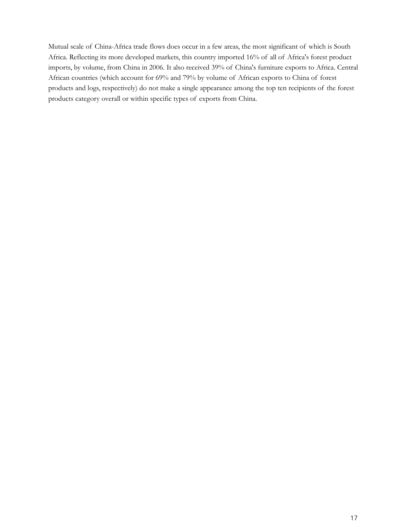Mutual scale of China-Africa trade flows does occur in a few areas, the most significant of which is South Africa. Reflecting its more developed markets, this country imported 16% of all of Africa's forest product imports, by volume, from China in 2006. It also received 39% of China's furniture exports to Africa. Central African countries (which account for 69% and 79% by volume of African exports to China of forest products and logs, respectively) do not make a single appearance among the top ten recipients of the forest products category overall or within specific types of exports from China.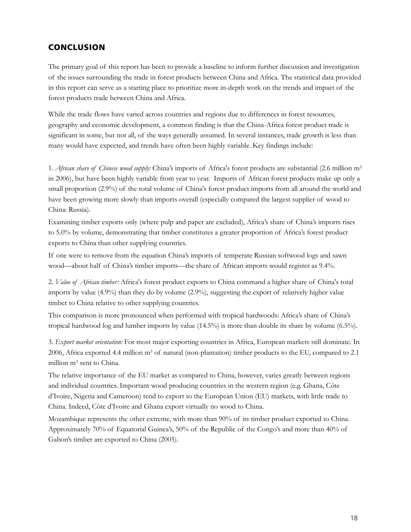## **CONCLUSION**

The primary goal of this report has been to provide a baseline to inform further discussion and investigation of the issues surrounding the trade in forest products between China and Africa. The statistical data provided in this report can serve as a starting place to prioritize more in-depth work on the trends and impact of the forest products trade between China and Africa.

While the trade flows have varied across countries and regions due to differences in forest resources, geography and economic development, a common finding is that the China-Africa forest product trade is significant in some, but not all, of the ways generally assumed. In several instances, trade growth is less than many would have expected, and trends have often been highly variable. Key findings include:

1. *African share of Chinese wood supply:* China's imports of Africa's forest products are substantial (2.6 million m3 in 2006), but have been highly variable from year to year. Imports of African forest products make up only a small proportion (2.9%) of the total volume of China's forest product imports from all around the world and have been growing more slowly than imports overall (especially compared the largest supplier of wood to China: Russia).

Examining timber exports only (where pulp and paper are excluded), Africa's share of China's imports rises to 5.0% by volume, demonstrating that timber constitutes a greater proportion of Africa's forest product exports to China than other supplying countries.

If one were to remove from the equation China's imports of temperate Russian softwood logs and sawn wood—about half of China's timber imports—the share of African imports would register as 9.4%.

2. *Value of African timber:* Africa's forest product exports to China command a higher share of China's total imports by value (4.9%) than they do by volume (2.9%), suggesting the export of relatively higher value timber to China relative to other supplying countries.

This comparison is more pronounced when performed with tropical hardwoods: Africa's share of China's tropical hardwood log and lumber imports by value (14.5%) is more than double its share by volume (6.5%).

3. *Export market orientation:* For most major exporting countries in Africa, European markets still dominate. In 2006, Africa exported 4.4 million  $m<sup>3</sup>$  of natural (non-plantation) timber products to the EU, compared to 2.1 million m3 sent to China.

The relative importance of the EU market as compared to China, however, varies greatly between regions and individual countries. Important wood producing countries in the western region (e.g. Ghana, Côte d'Ivoire, Nigeria and Cameroon) tend to export to the European Union (EU) markets, with little trade to China. Indeed, Côte d'Ivoire and Ghana export virtually no wood to China.

Mozambique represents the other extreme, with more than 90% of its timber product exported to China. Approximately 70% of Equatorial Guinea's, 50% of the Republic of the Congo's and more than 40% of Gabon's timber are exported to China (2005).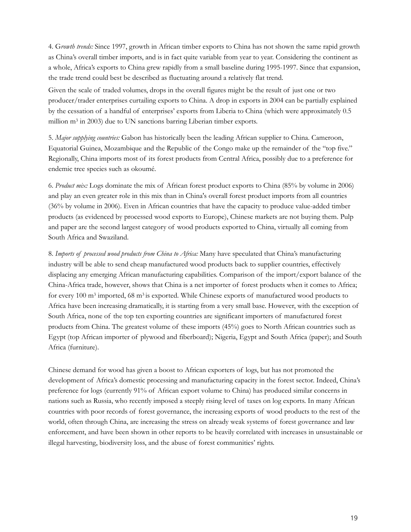4. G*rowth trends:* Since 1997, growth in African timber exports to China has not shown the same rapid growth as China's overall timber imports, and is in fact quite variable from year to year. Considering the continent as a whole, Africa's exports to China grew rapidly from a small baseline during 1995-1997. Since that expansion, the trade trend could best be described as fluctuating around a relatively flat trend.

Given the scale of traded volumes, drops in the overall figures might be the result of just one or two producer/trader enterprises curtailing exports to China. A drop in exports in 2004 can be partially explained by the cessation of a handful of enterprises' exports from Liberia to China (which were approximately 0.5 million m3 in 2003) due to UN sanctions barring Liberian timber exports.

5. *Major supplying countries:* Gabon has historically been the leading African supplier to China. Cameroon, Equatorial Guinea, Mozambique and the Republic of the Congo make up the remainder of the "top five." Regionally, China imports most of its forest products from Central Africa, possibly due to a preference for endemic tree species such as okoumé.

6. *Product mix:* Logs dominate the mix of African forest product exports to China (85% by volume in 2006) and play an even greater role in this mix than in China's overall forest product imports from all countries (36% by volume in 2006). Even in African countries that have the capacity to produce value-added timber products (as evidenced by processed wood exports to Europe), Chinese markets are not buying them. Pulp and paper are the second largest category of wood products exported to China, virtually all coming from South Africa and Swaziland.

8. *Imports of processed wood products from China to Africa:* Many have speculated that China's manufacturing industry will be able to send cheap manufactured wood products back to supplier countries, effectively displacing any emerging African manufacturing capabilities. Comparison of the import/export balance of the China-Africa trade, however, shows that China is a net importer of forest products when it comes to Africa; for every 100 m3 imported, 68 m3 is exported. While Chinese exports of manufactured wood products to Africa have been increasing dramatically, it is starting from a very small base. However, with the exception of South Africa, none of the top ten exporting countries are significant importers of manufactured forest products from China. The greatest volume of these imports (45%) goes to North African countries such as Egypt (top African importer of plywood and fiberboard); Nigeria, Egypt and South Africa (paper); and South Africa (furniture).

Chinese demand for wood has given a boost to African exporters of logs, but has not promoted the development of Africa's domestic processing and manufacturing capacity in the forest sector. Indeed, China's preference for logs (currently 91% of African export volume to China) has produced similar concerns in nations such as Russia, who recently imposed a steeply rising level of taxes on log exports. In many African countries with poor records of forest governance, the increasing exports of wood products to the rest of the world, often through China, are increasing the stress on already weak systems of forest governance and law enforcement, and have been shown in other reports to be heavily correlated with increases in unsustainable or illegal harvesting, biodiversity loss, and the abuse of forest communities' rights.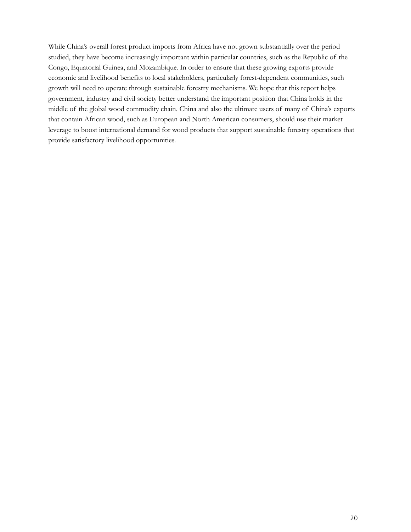While China's overall forest product imports from Africa have not grown substantially over the period studied, they have become increasingly important within particular countries, such as the Republic of the Congo, Equatorial Guinea, and Mozambique. In order to ensure that these growing exports provide economic and livelihood benefits to local stakeholders, particularly forest-dependent communities, such growth will need to operate through sustainable forestry mechanisms. We hope that this report helps government, industry and civil society better understand the important position that China holds in the middle of the global wood commodity chain. China and also the ultimate users of many of China's exports that contain African wood, such as European and North American consumers, should use their market leverage to boost international demand for wood products that support sustainable forestry operations that provide satisfactory livelihood opportunities.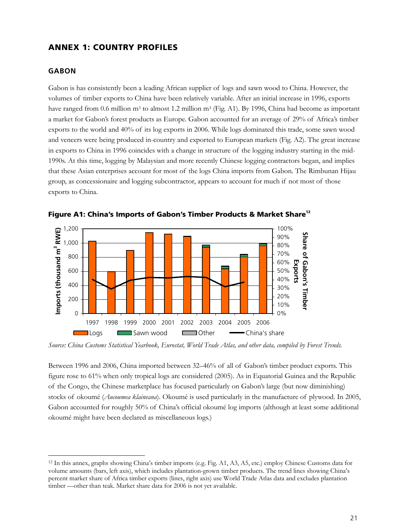## **ANNEX 1: COUNTRY PROFILES**

#### **GABON**

 $\overline{a}$ 

Gabon is has consistently been a leading African supplier of logs and sawn wood to China. However, the volumes of timber exports to China have been relatively variable. After an initial increase in 1996, exports have ranged from 0.6 million m<sup>3</sup> to almost 1.2 million m<sup>3</sup> (Fig. A1). By 1996, China had become as important a market for Gabon's forest products as Europe. Gabon accounted for an average of 29% of Africa's timber exports to the world and 40% of its log exports in 2006. While logs dominated this trade, some sawn wood and veneers were being produced in-country and exported to European markets (Fig. A2). The great increase in exports to China in 1996 coincides with a change in structure of the logging industry starting in the mid-1990s. At this time, logging by Malaysian and more recently Chinese logging contractors began, and implies that these Asian enterprises account for most of the logs China imports from Gabon. The Rimbunan Hijau group, as concessionaire and logging subcontractor, appears to account for much if not most of those exports to China.



**Figure A1: China's Imports of Gabon's Timber Products & Market Share12**

*Source: China Customs Statistical Yearbook, Eurostat, World Trade Atlas, and other data, compiled by Forest Trends.* 

Between 1996 and 2006, China imported between 32–46% of all of Gabon's timber product exports. This figure rose to 61% when only tropical logs are considered (2005). As in Equatorial Guinea and the Republic of the Congo, the Chinese marketplace has focused particularly on Gabon's large (but now diminishing) stocks of okoumé (*Aucoumea klaineana*). Okoumé is used particularly in the manufacture of plywood. In 2005, Gabon accounted for roughly 50% of China's official okoumé log imports (although at least some additional okoumé might have been declared as miscellaneous logs.)

<sup>12</sup> In this annex, graphs showing China's timber imports (e.g. Fig. A1, A3, A5, etc.) employ Chinese Customs data for volume amounts (bars, left axis), which includes plantation-grown timber products. The trend lines showing China's percent market share of Africa timber exports (lines, right axis) use World Trade Atlas data and excludes plantation timber —other than teak. Market share data for 2006 is not yet available.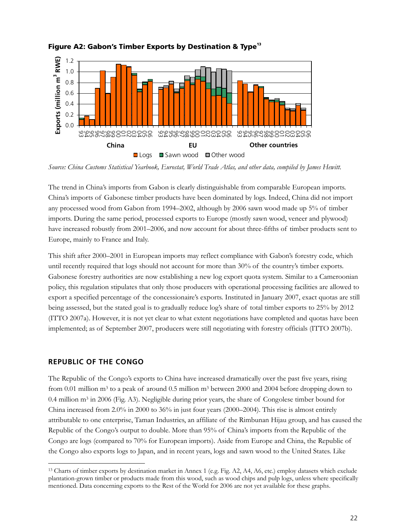

## Figure A2: Gabon's Timber Exports by Destination & Type<sup>13</sup>

*Source: China Customs Statistical Yearbook, Eurostat, World Trade Atlas, and other data, compiled by James Hewitt.* 

The trend in China's imports from Gabon is clearly distinguishable from comparable European imports. China's imports of Gabonese timber products have been dominated by logs. Indeed, China did not import any processed wood from Gabon from 1994–2002, although by 2006 sawn wood made up 5% of timber imports. During the same period, processed exports to Europe (mostly sawn wood, veneer and plywood) have increased robustly from 2001–2006, and now account for about three-fifths of timber products sent to Europe, mainly to France and Italy.

This shift after 2000–2001 in European imports may reflect compliance with Gabon's forestry code, which until recently required that logs should not account for more than 30% of the country's timber exports. Gabonese forestry authorities are now establishing a new log export quota system. Similar to a Cameroonian policy, this regulation stipulates that only those producers with operational processing facilities are allowed to export a specified percentage of the concessionaire's exports. Instituted in January 2007, exact quotas are still being assessed, but the stated goal is to gradually reduce log's share of total timber exports to 25% by 2012 (ITTO 2007a). However, it is not yet clear to what extent negotiations have completed and quotas have been implemented; as of September 2007, producers were still negotiating with forestry officials (ITTO 2007b).

## **REPUBLIC OF THE CONGO**

 $\overline{a}$ 

The Republic of the Congo's exports to China have increased dramatically over the past five years, rising from 0.01 million m3 to a peak of around 0.5 million m3 between 2000 and 2004 before dropping down to 0.4 million  $m<sup>3</sup>$  in 2006 (Fig. A3). Negligible during prior years, the share of Congolese timber bound for China increased from 2.0% in 2000 to 36% in just four years (2000–2004). This rise is almost entirely attributable to one enterprise, Taman Industries, an affiliate of the Rimbunan Hijau group, and has caused the Republic of the Congo's output to double. More than 95% of China's imports from the Republic of the Congo are logs (compared to 70% for European imports). Aside from Europe and China, the Republic of the Congo also exports logs to Japan, and in recent years, logs and sawn wood to the United States. Like

<sup>13</sup> Charts of timber exports by destination market in Annex 1 (e.g. Fig. A2, A4, A6, etc.) employ datasets which exclude plantation-grown timber or products made from this wood, such as wood chips and pulp logs, unless where specifically mentioned. Data concerning exports to the Rest of the World for 2006 are not yet available for these graphs.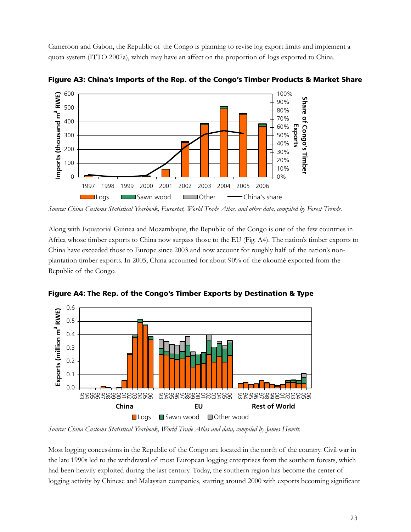Cameroon and Gabon, the Republic of the Congo is planning to revise log export limits and implement a quota system (ITTO 2007a), which may have an affect on the proportion of logs exported to China.



**Figure A3: China's Imports of the Rep. of the Congo's Timber Products & Market Share** 

*Source: China Customs Statistical Yearbook, Eurostat, World Trade Atlas, and other data, compiled by Forest Trends.* 

Along with Equatorial Guinea and Mozambique, the Republic of the Congo is one of the few countries in Africa whose timber exports to China now surpass those to the EU (Fig. A4). The nation's timber exports to China have exceeded those to Europe since 2003 and now account for roughly half of the nation's nonplantation timber exports. In 2005, China accounted for about 90% of the okoumé exported from the Republic of the Congo.



**Figure A4: The Rep. of the Congo's Timber Exports by Destination & Type** 

*Source: China Customs Statistical Yearbook, World Trade Atlas and data, compiled by James Hewitt.* 

Most logging concessions in the Republic of the Congo are located in the north of the country. Civil war in the late 1990s led to the withdrawal of most European logging enterprises from the southern forests, which had been heavily exploited during the last century. Today, the southern region has become the center of logging activity by Chinese and Malaysian companies, starting around 2000 with exports becoming significant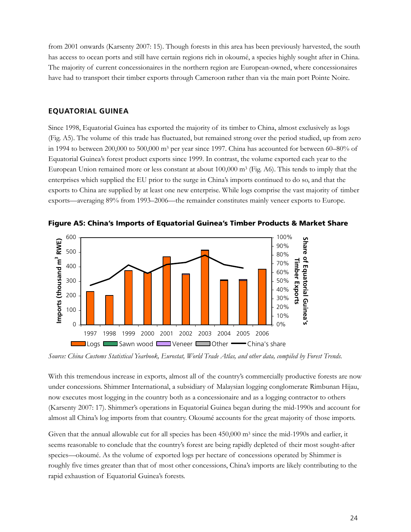from 2001 onwards (Karsenty 2007: 15). Though forests in this area has been previously harvested, the south has access to ocean ports and still have certain regions rich in okoumé, a species highly sought after in China. The majority of current concessionaires in the northern region are European-owned, where concessionaires have had to transport their timber exports through Cameroon rather than via the main port Pointe Noire.

#### **EQUATORIAL GUINEA**

Since 1998, Equatorial Guinea has exported the majority of its timber to China, almost exclusively as logs (Fig. A5). The volume of this trade has fluctuated, but remained strong over the period studied, up from zero in 1994 to between 200,000 to 500,000 m<sup>3</sup> per year since 1997. China has accounted for between 60–80% of Equatorial Guinea's forest product exports since 1999. In contrast, the volume exported each year to the European Union remained more or less constant at about  $100,000$  m<sup>3</sup> (Fig. A6). This tends to imply that the enterprises which supplied the EU prior to the surge in China's imports continued to do so, and that the exports to China are supplied by at least one new enterprise. While logs comprise the vast majority of timber exports—averaging 89% from 1993–2006—the remainder constitutes mainly veneer exports to Europe.



**Figure A5: China's Imports of Equatorial Guinea's Timber Products & Market Share** 

*Source: China Customs Statistical Yearbook, Eurostat, World Trade Atlas, and other data, compiled by Forest Trends.* 

With this tremendous increase in exports, almost all of the country's commercially productive forests are now under concessions. Shimmer International, a subsidiary of Malaysian logging conglomerate Rimbunan Hijau, now executes most logging in the country both as a concessionaire and as a logging contractor to others (Karsenty 2007: 17). Shimmer's operations in Equatorial Guinea began during the mid-1990s and account for almost all China's log imports from that country. Okoumé accounts for the great majority of those imports.

Given that the annual allowable cut for all species has been  $450,000$  m<sup>3</sup> since the mid-1990s and earlier, it seems reasonable to conclude that the country's forest are being rapidly depleted of their most sought-after species—okoumé. As the volume of exported logs per hectare of concessions operated by Shimmer is roughly five times greater than that of most other concessions, China's imports are likely contributing to the rapid exhaustion of Equatorial Guinea's forests.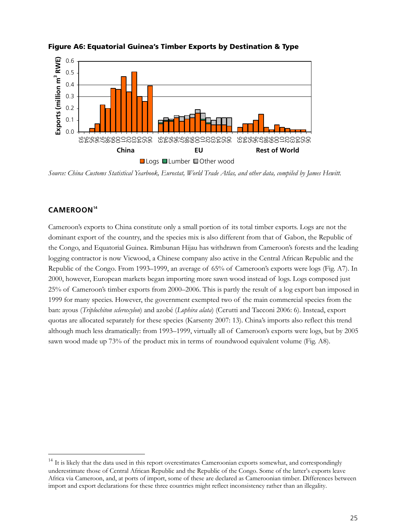

#### **Figure A6: Equatorial Guinea's Timber Exports by Destination & Type**

*Source: China Customs Statistical Yearbook, Eurostat, World Trade Atlas, and other data, compiled by James Hewitt.* 

## **CAMEROON<sup>14</sup>**

 $\overline{a}$ 

Cameroon's exports to China constitute only a small portion of its total timber exports. Logs are not the dominant export of the country, and the species mix is also different from that of Gabon, the Republic of the Congo, and Equatorial Guinea. Rimbunan Hijau has withdrawn from Cameroon's forests and the leading logging contractor is now Vicwood, a Chinese company also active in the Central African Republic and the Republic of the Congo. From 1993–1999, an average of 65% of Cameroon's exports were logs (Fig. A7). In 2000, however, European markets began importing more sawn wood instead of logs. Logs composed just 25% of Cameroon's timber exports from 2000–2006. This is partly the result of a log export ban imposed in 1999 for many species. However, the government exempted two of the main commercial species from the ban: ayous (*Triplochiton scleroxylon*) and azobé (*Lophira alata*) (Cerutti and Tacconi 2006: 6). Instead, export quotas are allocated separately for these species (Karsenty 2007: 13). China's imports also reflect this trend although much less dramatically: from 1993–1999, virtually all of Cameroon's exports were logs, but by 2005 sawn wood made up 73% of the product mix in terms of roundwood equivalent volume (Fig. A8).

 $14$  It is likely that the data used in this report overestimates Cameroonian exports somewhat, and correspondingly underestimate those of Central African Republic and the Republic of the Congo. Some of the latter's exports leave Africa via Cameroon, and, at ports of import, some of these are declared as Cameroonian timber. Differences between import and export declarations for these three countries might reflect inconsistency rather than an illegality.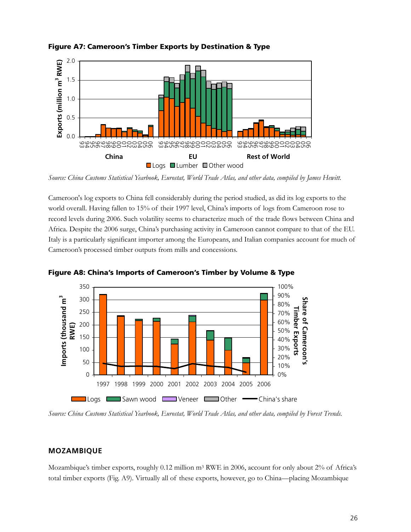

**Figure A7: Cameroon's Timber Exports by Destination & Type** 

Cameroon's log exports to China fell considerably during the period studied, as did its log exports to the world overall. Having fallen to 15% of their 1997 level, China's imports of logs from Cameroon rose to record levels during 2006. Such volatility seems to characterize much of the trade flows between China and Africa. Despite the 2006 surge, China's purchasing activity in Cameroon cannot compare to that of the EU. Italy is a particularly significant importer among the Europeans, and Italian companies account for much of Cameroon's processed timber outputs from mills and concessions.



**Figure A8: China's Imports of Cameroon's Timber by Volume & Type** 

*Source: China Customs Statistical Yearbook, Eurostat, World Trade Atlas, and other data, compiled by Forest Trends.* 

## **MOZAMBIQUE**

Mozambique's timber exports, roughly 0.12 million m<sup>3</sup> RWE in 2006, account for only about 2% of Africa's total timber exports (Fig. A9). Virtually all of these exports, however, go to China—placing Mozambique

*Source: China Customs Statistical Yearbook, Eurostat, World Trade Atlas, and other data, compiled by James Hewitt.*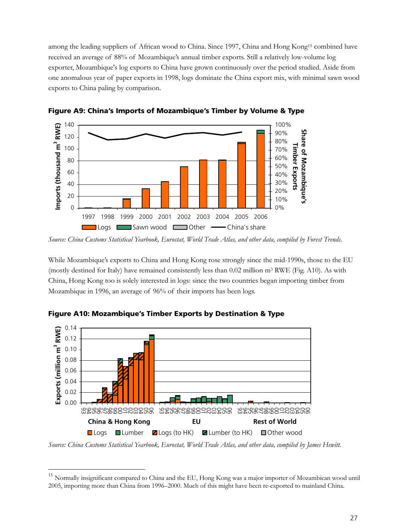among the leading suppliers of African wood to China. Since 1997, China and Hong Kong15 combined have received an average of 88% of Mozambique's annual timber exports. Still a relatively low-volume log exporter, Mozambique's log exports to China have grown continuously over the period studied. Aside from one anomalous year of paper exports in 1998, logs dominate the China export mix, with minimal sawn wood exports to China paling by comparison.



**Figure A9: China's Imports of Mozambique's Timber by Volume & Type** 

While Mozambique's exports to China and Hong Kong rose strongly since the mid-1990s, those to the EU (mostly destined for Italy) have remained consistently less than  $0.02$  million m<sup>3</sup> RWE (Fig. A10). As with China, Hong Kong too is solely interested in logs: since the two countries began importing timber from Mozambique in 1996, an average of 96% of their imports has been logs.



**Figure A10: Mozambique's Timber Exports by Destination & Type** 

 $\overline{a}$ 

*Source: China Customs Statistical Yearbook, Eurostat, World Trade Atlas, and other data, compiled by James Hewitt.* 

*Source: China Customs Statistical Yearbook, Eurostat, World Trade Atlas, and other data, compiled by Forest Trends.* 

<sup>&</sup>lt;sup>15</sup> Normally insignificant compared to China and the EU, Hong Kong was a major importer of Mozambican wood until 2005, importing more than China from 1996–2000. Much of this might have been re-exported to mainland China.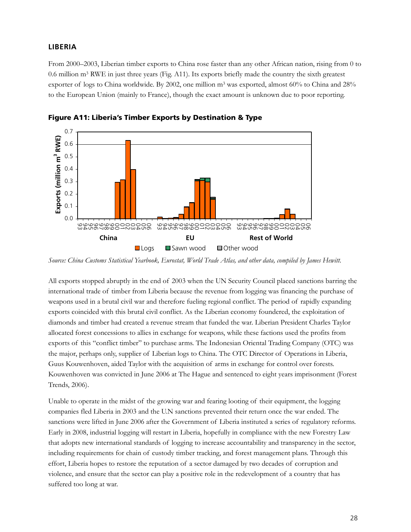## **LIBERIA**

From 2000–2003, Liberian timber exports to China rose faster than any other African nation, rising from 0 to 0.6 million m3 RWE in just three years (Fig. A11). Its exports briefly made the country the sixth greatest exporter of logs to China worldwide. By 2002, one million m<sup>3</sup> was exported, almost 60% to China and 28% to the European Union (mainly to France), though the exact amount is unknown due to poor reporting.



**Figure A11: Liberia's Timber Exports by Destination & Type** 

All exports stopped abruptly in the end of 2003 when the UN Security Council placed sanctions barring the international trade of timber from Liberia because the revenue from logging was financing the purchase of weapons used in a brutal civil war and therefore fueling regional conflict. The period of rapidly expanding exports coincided with this brutal civil conflict. As the Liberian economy foundered, the exploitation of diamonds and timber had created a revenue stream that funded the war. Liberian President Charles Taylor allocated forest concessions to allies in exchange for weapons, while these factions used the profits from exports of this "conflict timber" to purchase arms. The Indonesian Oriental Trading Company (OTC) was the major, perhaps only, supplier of Liberian logs to China. The OTC Director of Operations in Liberia, Guus Kouwenhoven, aided Taylor with the acquisition of arms in exchange for control over forests. Kouwenhoven was convicted in June 2006 at The Hague and sentenced to eight years imprisonment (Forest Trends, 2006).

Unable to operate in the midst of the growing war and fearing looting of their equipment, the logging companies fled Liberia in 2003 and the U.N sanctions prevented their return once the war ended. The sanctions were lifted in June 2006 after the Government of Liberia instituted a series of regulatory reforms. Early in 2008, industrial logging will restart in Liberia, hopefully in compliance with the new Forestry Law that adopts new international standards of logging to increase accountability and transparency in the sector, including requirements for chain of custody timber tracking, and forest management plans. Through this effort, Liberia hopes to restore the reputation of a sector damaged by two decades of corruption and violence, and ensure that the sector can play a positive role in the redevelopment of a country that has suffered too long at war.

*Source: China Customs Statistical Yearbook, Eurostat, World Trade Atlas, and other data, compiled by James Hewitt.*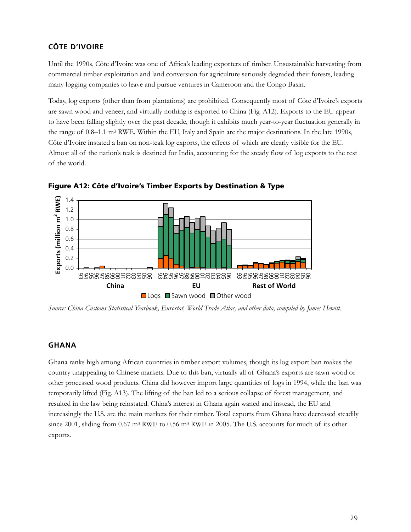## **CÔTE D'IVOIRE**

Until the 1990s, Côte d'Ivoire was one of Africa's leading exporters of timber. Unsustainable harvesting from commercial timber exploitation and land conversion for agriculture seriously degraded their forests, leading many logging companies to leave and pursue ventures in Cameroon and the Congo Basin.

Today, log exports (other than from plantations) are prohibited. Consequently most of Côte d'Ivoire's exports are sawn wood and veneer, and virtually nothing is exported to China (Fig. A12). Exports to the EU appear to have been falling slightly over the past decade, though it exhibits much year-to-year fluctuation generally in the range of 0.8–1.1 m3 RWE. Within the EU, Italy and Spain are the major destinations. In the late 1990s, Côte d'Ivoire instated a ban on non-teak log exports, the effects of which are clearly visible for the EU. Almost all of the nation's teak is destined for India, accounting for the steady flow of log exports to the rest of the world.



**Figure A12: Côte d'Ivoire's Timber Exports by Destination & Type** 

*Source: China Customs Statistical Yearbook, Eurostat, World Trade Atlas, and other data, compiled by James Hewitt.* 

#### **GHANA**

Ghana ranks high among African countries in timber export volumes, though its log export ban makes the country unappealing to Chinese markets. Due to this ban, virtually all of Ghana's exports are sawn wood or other processed wood products. China did however import large quantities of logs in 1994, while the ban was temporarily lifted (Fig. A13). The lifting of the ban led to a serious collapse of forest management, and resulted in the law being reinstated. China's interest in Ghana again waned and instead, the EU and increasingly the U.S. are the main markets for their timber. Total exports from Ghana have decreased steadily since 2001, sliding from 0.67 m<sup>3</sup> RWE to 0.56 m<sup>3</sup> RWE in 2005. The U.S. accounts for much of its other exports.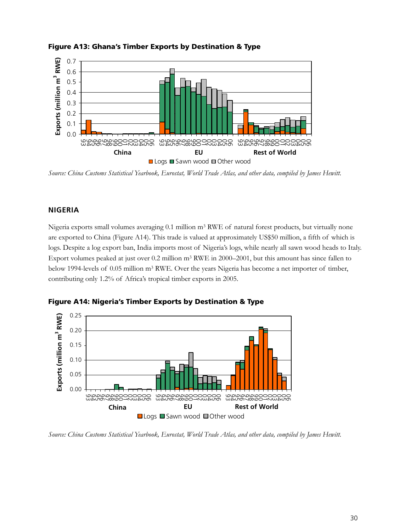

## **Figure A13: Ghana's Timber Exports by Destination & Type**

*Source: China Customs Statistical Yearbook, Eurostat, World Trade Atlas, and other data, compiled by James Hewitt.* 

## **NIGERIA**

0.00

93 94 95 96 97 98 99 00 01 02 03 04 05 06

Nigeria exports small volumes averaging 0.1 million m<sup>3</sup> RWE of natural forest products, but virtually none are exported to China (Figure A14). This trade is valued at approximately US\$50 million, a fifth of which is logs. Despite a log export ban, India imports most of Nigeria's logs, while nearly all sawn wood heads to Italy. Export volumes peaked at just over 0.2 million m3 RWE in 2000–2001, but this amount has since fallen to below 1994-levels of 0.05 million m3 RWE. Over the years Nigeria has become a net importer of timber, contributing only 1.2% of Africa's tropical timber exports in 2005.



**Figure A14: Nigeria's Timber Exports by Destination & Type** 

93 94 95 96 97 98 99 00 01 02 03 04 05 06

■Logs ■Sawn wood ■Other wood **China EU Rest of World**

93 94 95 96 97 98 99 00 01 02 03 04 05 06

*Source: China Customs Statistical Yearbook, Eurostat, World Trade Atlas, and other data, compiled by James Hewitt.*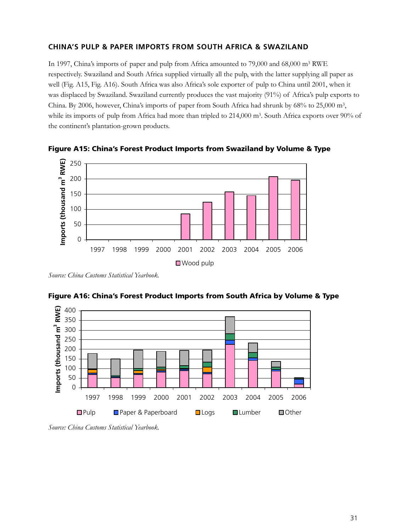## **CHINA'S PULP & PAPER IMPORTS FROM SOUTH AFRICA & SWAZILAND**

In 1997, China's imports of paper and pulp from Africa amounted to 79,000 and 68,000 m3 RWE respectively. Swaziland and South Africa supplied virtually all the pulp, with the latter supplying all paper as well (Fig. A15, Fig. A16). South Africa was also Africa's sole exporter of pulp to China until 2001, when it was displaced by Swaziland. Swaziland currently produces the vast majority (91%) of Africa's pulp exports to China. By 2006, however, China's imports of paper from South Africa had shrunk by 68% to 25,000 m3, while its imports of pulp from Africa had more than tripled to 214,000 m<sup>3</sup>. South Africa exports over 90% of the continent's plantation-grown products.



**Figure A15: China's Forest Product Imports from Swaziland by Volume & Type** 

*Source: China Customs Statistical Yearbook.* 



**Figure A16: China's Forest Product Imports from South Africa by Volume & Type** 

*Source: China Customs Statistical Yearbook.*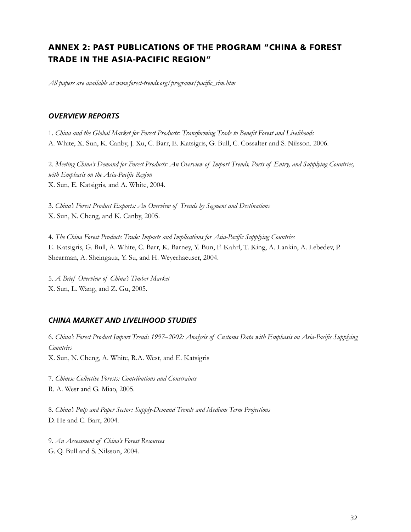## **ANNEX 2: PAST PUBLICATIONS OF THE PROGRAM "CHINA & FOREST TRADE IN THE ASIA-PACIFIC REGION"**

*All papers are available at www.forest-trends.org/programs/pacific\_rim.htm* 

#### *OVERVIEW REPORTS*

1. *China and the Global Market for Forest Products: Transforming Trade to Benefit Forest and Livelihoods*  A. White, X. Sun, K. Canby, J. Xu, C. Barr, E. Katsigris, G. Bull, C. Cossalter and S. Nilsson. 2006.

2. *Meeting China's Demand for Forest Products: An Overview of Import Trends, Ports of Entry, and Supplying Countries, with Emphasis on the Asia-Pacific Region*  X. Sun, E. Katsigris, and A. White, 2004.

3. *China's Forest Product Exports: An Overview of Trends by Segment and Destinations*  X. Sun, N. Cheng, and K. Canby, 2005.

4. *The China Forest Products Trade: Impacts and Implications for Asia-Pacific Supplying Countries*  E. Katsigris, G. Bull, A. White, C. Barr, K. Barney, Y. Bun, F. Kahrl, T. King, A. Lankin, A. Lebedev, P. Shearman, A. Sheingauz, Y. Su, and H. Weyerhaeuser, 2004.

5. *A Brief Overview of China's Timber Market* X. Sun, L. Wang, and Z. Gu, 2005.

#### *CHINA MARKET AND LIVELIHOOD STUDIES*

6. *China's Forest Product Import Trends 1997*–*2002: Analysis of Customs Data with Emphasis on Asia-Pacific Supplying Countries*

X. Sun, N. Cheng, A. White, R.A. West, and E. Katsigris

7. *Chinese Collective Forests: Contributions and Constraints* R. A. West and G. Miao, 2005.

8. *China's Pulp and Paper Sector: Supply-Demand Trends and Medium Term Projections* D. He and C. Barr, 2004.

9. *An Assessment of China's Forest Resources*  G. Q. Bull and S. Nilsson, 2004.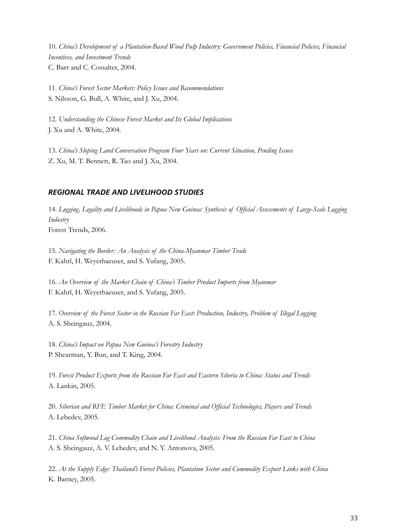10. *China's Development of a Plantation-Based Wood Pulp Industry: Government Policies, Financial Policies, Financial Incentives, and Investment Trends* C. Barr and C. Cossalter, 2004.

11. *China's Forest Sector Markets: Policy Issues and Recommendations* S. Nilsson, G. Bull, A. White, and J. Xu, 2004.

12. *Understanding the Chinese Forest Market and Its Global Implications* J. Xu and A. White, 2004.

13. *China's Sloping Land Conversation Program Four Years on: Current Situation, Pending Issues* Z. Xu, M. T. Bennett, R. Tao and J. Xu, 2004.

## *REGIONAL TRADE AND LIVELIHOOD STUDIES*

14. *Logging, Legality and Livelihoods in Papua New Guinea: Synthesis of Official Assessments of Large-Scale Logging Industry* Forest Trends, 2006.

15. *Navigating the Border: An Analysis of the China-Myanmar Timber Trade*  F. Kahrl, H. Weyerhaeuser, and S. Yufang, 2005.

16. *An Overview of the Market Chain of China's Timber Product Imports from Myanmar* F. Kahrl, H. Weyerhaeuser, and S. Yufang, 2005.

17. *Overview of the Forest Sector in the Russian Far East: Production, Industry, Problem of Illegal Logging* A. S. Sheingauz, 2004.

18. *China's Impact on Papua New Guinea's Forestry Industry* P. Shearman, Y. Bun, and T. King, 2004.

19. *Forest Product Exports from the Russian Far East and Eastern Siberia to China: Status and Trends* A. Lankin, 2005.

20. *Siberian and RFE Timber Market for China: Criminal and Official Technologies, Players and Trends* A. Lebedev, 2005.

21. *China Softwood Log Commodity Chain and Livelihood Analysis: From the Russian Far East to China* A. S. Sheingauz, A. V. Lebedev, and N. Y. Antonova, 2005.

22. *At the Supply Edge: Thailand's Forest Policies, Plantation Sector and Commodity Export Links with China* K. Barney, 2005.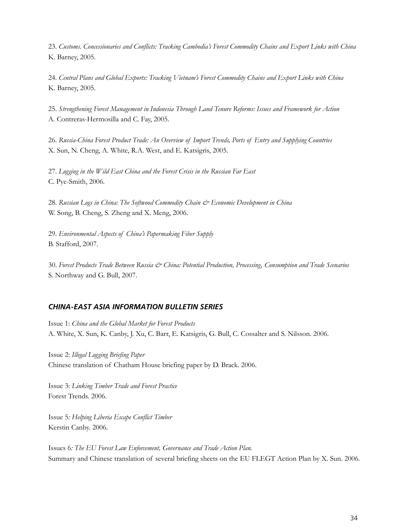23. *Customs. Concessionaries and Conflicts: Tracking Cambodia's Forest Commodity Chains and Export Links with China* K. Barney, 2005.

24. *Central Plans and Global Exports: Tracking Vietnam's Forest Commodity Chains and Export Links with China* K. Barney, 2005.

25. *Strengthening Forest Management in Indonesia Through Land Tenure Reforms: Issues and Framework for Action*  A. Contreras-Hermosilla and C. Fay, 2005.

26. *Russia-China Forest Product Trade: An Overview of Import Trends, Ports of Entry and Supplying Countries* X. Sun, N. Cheng, A. White, R.A. West, and E. Katsigris, 2005.

27. *Logging in the Wild East China and the Forest Crisis in the Russian Far East* C. Pye-Smith, 2006.

28. *Russian Logs in China: The Softwood Commodity Chain & Economic Development in China* W. Song, B. Cheng, S. Zheng and X. Meng, 2006.

29. *Environmental Aspects of China's Papermaking Fiber Supply* B. Stafford, 2007.

30. *Forest Products Trade Between Russia & China: Potential Production, Processing, Consumption and Trade Scenarios* S. Northway and G. Bull, 2007.

## *CHINA-EAST ASIA INFORMATION BULLETIN SERIES*

Issue 1: *China and the Global Market for Forest Products* A. White, X. Sun, K. Canby, J. Xu, C. Barr, E. Katsigris, G. Bull, C. Cossalter and S. Nilsson. 2006.

Issue 2: *Illegal Logging Briefing Paper*  Chinese translation of Chatham House briefing paper by D. Brack. 2006.

Issue 3: *Linking Timber Trade and Forest Practice*  Forest Trends. 2006.

Issue 5*: Helping Liberia Escape Conflict Timber*  Kerstin Canby. 2006.

Issues 6*: The EU Forest Law Enforcement, Governance and Trade Action Plan.* Summary and Chinese translation of several briefing sheets on the EU FLEGT Action Plan by X. Sun. 2006.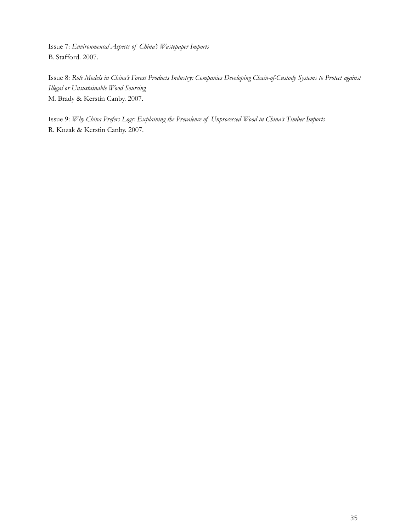Issue 7: *Environmental Aspects of China's Wastepaper Imports* B. Stafford. 2007.

Issue 8: *Role Models in China's Forest Products Industry: Companies Developing Chain-of-Custody Systems to Protect against Illegal or Unsustainable Wood Sourcing* M. Brady & Kerstin Canby. 2007.

Issue 9: *Why China Prefers Logs: Explaining the Prevalence of Unprocessed Wood in China's Timber Imports*  R. Kozak & Kerstin Canby. 2007.